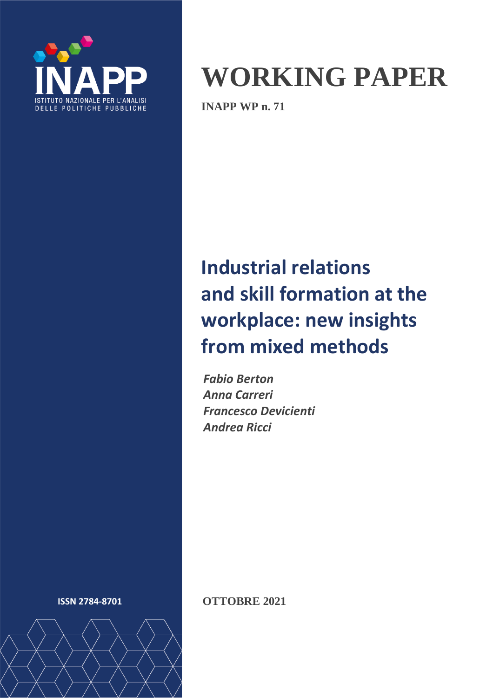

# **WORKING PAPER**

**INAPP WP n. 71**

# **Industrial relations and skill formation at the workplace: new insights from mixed methods**

*Fabio Berton Anna Carreri Francesco Devicienti Andrea Ricci*



**ISSN 2784-8701 OTTOBRE 2021**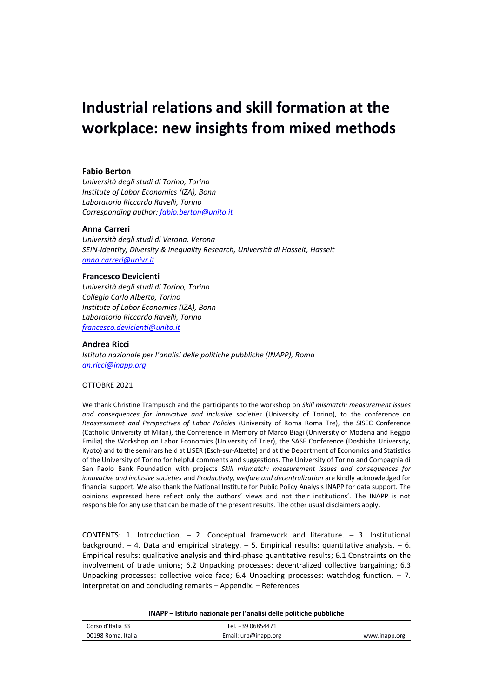# **Industrial relations and skill formation at the workplace: new insights from mixed methods**

#### **Fabio Berton**

*Università degli studi di Torino, Torino Institute of Labor Economics (IZA), Bonn Laboratorio Riccardo Ravelli, Torino Corresponding author: [fabio.berton@unito.it](mailto:fabio.berton@unito.it)*

#### **Anna Carreri**

*Università degli studi di Verona, Verona SEIN-Identity, Diversity & Inequality Research, Università di Hasselt, Hasselt [anna.carreri@univr.it](mailto:anna.carreri@univr.it)*

#### **Francesco Devicienti**

*Università degli studi di Torino, Torino Collegio Carlo Alberto, Torino Institute of Labor Economics (IZA), Bonn Laboratorio Riccardo Ravelli, Torino [francesco.devicienti@unito.it](mailto:francesco.devicienti@unito.it)*

#### **Andrea Ricci**

*Istituto nazionale per l'analisi delle politiche pubbliche (INAPP), Roma [an.ricci@inapp.org](mailto:an.ricci@inapp.org)*

#### OTTOBRE 2021

We thank Christine Trampusch and the participants to the workshop on *Skill mismatch: measurement issues and consequences for innovative and inclusive societies* (University of Torino), to the conference on *Reassessment and Perspectives of Labor Policies* (University of Roma Roma Tre), the SISEC Conference (Catholic University of Milan), the Conference in Memory of Marco Biagi (University of Modena and Reggio Emilia) the Workshop on Labor Economics (University of Trier), the SASE Conference (Doshisha University, Kyoto) and to the seminars held at LISER (Esch-sur-Alzette) and at the Department of Economics and Statistics of the University of Torino for helpful comments and suggestions. The University of Torino and Compagnia di San Paolo Bank Foundation with projects *Skill mismatch: measurement issues and consequences for innovative and inclusive societies* and *Productivity, welfare and decentralization* are kindly acknowledged for financial support. We also thank the National Institute for Public Policy Analysis INAPP for data support. The opinions expressed here reflect only the authors' views and not their institutions'. The INAPP is not responsible for any use that can be made of the present results. The other usual disclaimers apply.

CONTENTS: 1. Introduction. – 2. Conceptual framework and literature. – 3. Institutional background. – 4. Data and empirical strategy. – 5. Empirical results: quantitative analysis. – 6. Empirical results: qualitative analysis and third-phase quantitative results; 6.1 Constraints on the involvement of trade unions; 6.2 Unpacking processes: decentralized collective bargaining; 6.3 Unpacking processes: collective voice face; 6.4 Unpacking processes: watchdog function. – 7. Interpretation and concluding remarks – Appendix. – References

**INAPP – Istituto nazionale per l'analisi delle politiche pubbliche**

| Corso d'Italia 33  | Tel. +39 06854471    |               |
|--------------------|----------------------|---------------|
| 00198 Roma, Italia | Email: urp@inapp.org | www.inapp.org |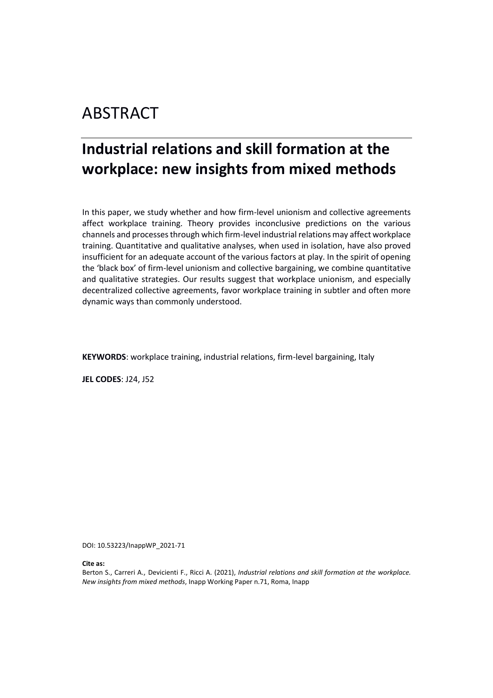# ABSTRACT

# **Industrial relations and skill formation at the workplace: new insights from mixed methods**

In this paper, we study whether and how firm-level unionism and collective agreements affect workplace training. Theory provides inconclusive predictions on the various channels and processes through which firm-level industrial relations may affect workplace training. Quantitative and qualitative analyses, when used in isolation, have also proved insufficient for an adequate account of the various factors at play. In the spirit of opening the 'black box' of firm-level unionism and collective bargaining, we combine quantitative and qualitative strategies. Our results suggest that workplace unionism, and especially decentralized collective agreements, favor workplace training in subtler and often more dynamic ways than commonly understood.

**KEYWORDS**: workplace training, industrial relations, firm-level bargaining, Italy

**JEL CODES**: J24, J52

DOI: 10.53223/InappWP\_2021-71

**Cite as:**

Berton S., Carreri A., Devicienti F., Ricci A. (2021), *Industrial relations and skill formation at the workplace. New insights from mixed methods*, Inapp Working Paper n.71, Roma, Inapp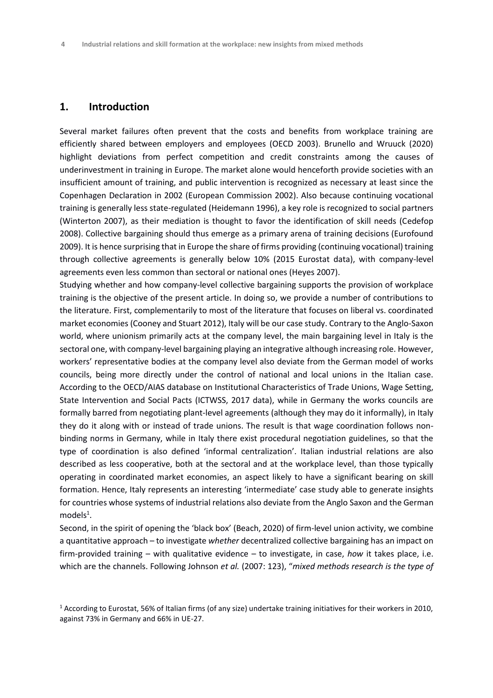# **1. Introduction**

Several market failures often prevent that the costs and benefits from workplace training are efficiently shared between employers and employees (OECD 2003). Brunello and Wruuck (2020) highlight deviations from perfect competition and credit constraints among the causes of underinvestment in training in Europe. The market alone would henceforth provide societies with an insufficient amount of training, and public intervention is recognized as necessary at least since the Copenhagen Declaration in 2002 (European Commission 2002). Also because continuing vocational training is generally less state-regulated (Heidemann 1996), a key role is recognized to social partners (Winterton 2007), as their mediation is thought to favor the identification of skill needs (Cedefop 2008). Collective bargaining should thus emerge as a primary arena of training decisions (Eurofound 2009). It is hence surprising that in Europe the share of firms providing (continuing vocational) training through collective agreements is generally below 10% (2015 Eurostat data), with company-level agreements even less common than sectoral or national ones (Heyes 2007).

Studying whether and how company-level collective bargaining supports the provision of workplace training is the objective of the present article. In doing so, we provide a number of contributions to the literature. First, complementarily to most of the literature that focuses on liberal vs. coordinated market economies (Cooney and Stuart 2012), Italy will be our case study. Contrary to the Anglo-Saxon world, where unionism primarily acts at the company level, the main bargaining level in Italy is the sectoral one, with company-level bargaining playing an integrative although increasing role. However, workers' representative bodies at the company level also deviate from the German model of works councils, being more directly under the control of national and local unions in the Italian case. According to the OECD/AIAS database on Institutional Characteristics of Trade Unions, Wage Setting, State Intervention and Social Pacts (ICTWSS, 2017 data), while in Germany the works councils are formally barred from negotiating plant-level agreements (although they may do it informally), in Italy they do it along with or instead of trade unions. The result is that wage coordination follows nonbinding norms in Germany, while in Italy there exist procedural negotiation guidelines, so that the type of coordination is also defined 'informal centralization'. Italian industrial relations are also described as less cooperative, both at the sectoral and at the workplace level, than those typically operating in coordinated market economies, an aspect likely to have a significant bearing on skill formation. Hence, Italy represents an interesting 'intermediate' case study able to generate insights for countries whose systems of industrial relations also deviate from the Anglo Saxon and the German  $models<sup>1</sup>$ .

Second, in the spirit of opening the 'black box' (Beach, 2020) of firm-level union activity, we combine a quantitative approach – to investigate *whether* decentralized collective bargaining has an impact on firm-provided training – with qualitative evidence – to investigate, in case, *how* it takes place, i.e. which are the channels. Following Johnson *et al.* (2007: 123), "*mixed methods research is the type of* 

<sup>1</sup> According to Eurostat, 56% of Italian firms (of any size) undertake training initiatives for their workers in 2010, against 73% in Germany and 66% in UE-27.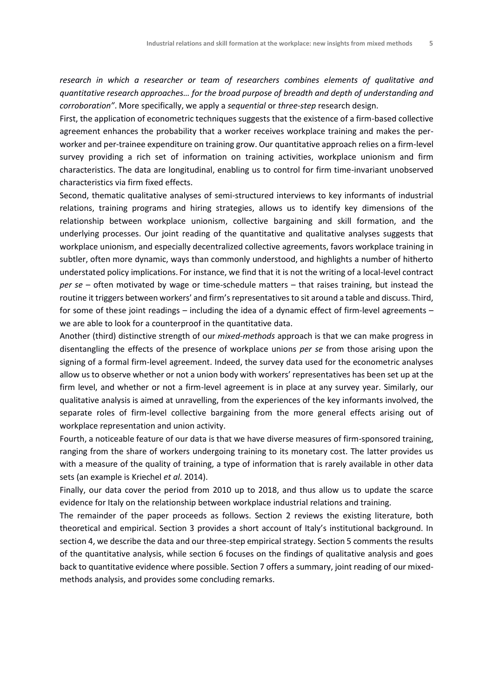*research in which a researcher or team of researchers combines elements of qualitative and quantitative research approaches… for the broad purpose of breadth and depth of understanding and corroboration"*. More specifically, we apply a *sequential* or *three-step* research design.

First, the application of econometric techniques suggests that the existence of a firm-based collective agreement enhances the probability that a worker receives workplace training and makes the perworker and per-trainee expenditure on training grow. Our quantitative approach relies on a firm-level survey providing a rich set of information on training activities, workplace unionism and firm characteristics. The data are longitudinal, enabling us to control for firm time-invariant unobserved characteristics via firm fixed effects.

Second, thematic qualitative analyses of semi-structured interviews to key informants of industrial relations, training programs and hiring strategies, allows us to identify key dimensions of the relationship between workplace unionism, collective bargaining and skill formation, and the underlying processes. Our joint reading of the quantitative and qualitative analyses suggests that workplace unionism, and especially decentralized collective agreements, favors workplace training in subtler, often more dynamic, ways than commonly understood, and highlights a number of hitherto understated policy implications. For instance, we find that it is not the writing of a local-level contract *per se* – often motivated by wage or time-schedule matters – that raises training, but instead the routine it triggers between workers' and firm's representatives to sit around a table and discuss. Third, for some of these joint readings – including the idea of a dynamic effect of firm-level agreements – we are able to look for a counterproof in the quantitative data.

Another (third) distinctive strength of our *mixed-methods* approach is that we can make progress in disentangling the effects of the presence of workplace unions *per se* from those arising upon the signing of a formal firm-level agreement. Indeed, the survey data used for the econometric analyses allow us to observe whether or not a union body with workers' representatives has been set up at the firm level, and whether or not a firm-level agreement is in place at any survey year. Similarly, our qualitative analysis is aimed at unravelling, from the experiences of the key informants involved, the separate roles of firm-level collective bargaining from the more general effects arising out of workplace representation and union activity.

Fourth, a noticeable feature of our data is that we have diverse measures of firm-sponsored training, ranging from the share of workers undergoing training to its monetary cost. The latter provides us with a measure of the quality of training, a type of information that is rarely available in other data sets (an example is Kriechel *et al.* 2014).

Finally, our data cover the period from 2010 up to 2018, and thus allow us to update the scarce evidence for Italy on the relationship between workplace industrial relations and training.

The remainder of the paper proceeds as follows. Section 2 reviews the existing literature, both theoretical and empirical. Section 3 provides a short account of Italy's institutional background. In section 4, we describe the data and our three-step empirical strategy. Section 5 comments the results of the quantitative analysis, while section 6 focuses on the findings of qualitative analysis and goes back to quantitative evidence where possible. Section 7 offers a summary, joint reading of our mixedmethods analysis, and provides some concluding remarks.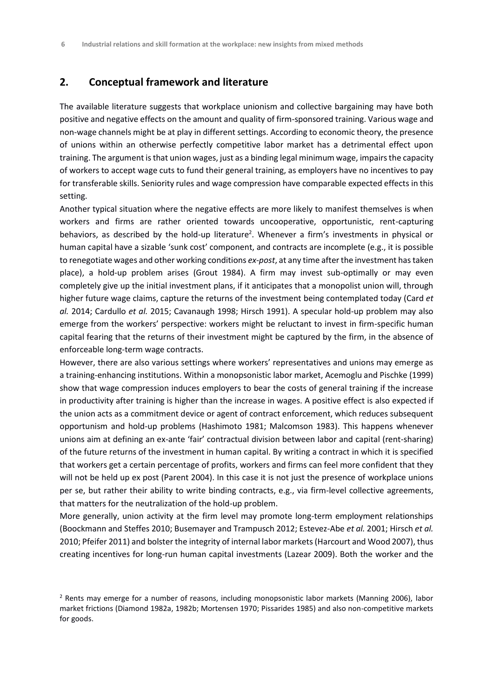# **2. Conceptual framework and literature**

The available literature suggests that workplace unionism and collective bargaining may have both positive and negative effects on the amount and quality of firm-sponsored training. Various wage and non-wage channels might be at play in different settings. According to economic theory, the presence of unions within an otherwise perfectly competitive labor market has a detrimental effect upon training. The argument is that union wages, just as a binding legal minimum wage, impairs the capacity of workers to accept wage cuts to fund their general training, as employers have no incentives to pay for transferable skills. Seniority rules and wage compression have comparable expected effects in this setting.

Another typical situation where the negative effects are more likely to manifest themselves is when workers and firms are rather oriented towards uncooperative, opportunistic, rent-capturing behaviors, as described by the hold-up literature<sup>2</sup>. Whenever a firm's investments in physical or human capital have a sizable 'sunk cost' component, and contracts are incomplete (e.g., it is possible to renegotiate wages and other working conditions *ex-post*, at any time after the investment has taken place), a hold-up problem arises (Grout 1984). A firm may invest sub-optimally or may even completely give up the initial investment plans, if it anticipates that a monopolist union will, through higher future wage claims, capture the returns of the investment being contemplated today (Card *et al.* 2014; Cardullo *et al.* 2015; Cavanaugh 1998; Hirsch 1991). A specular hold-up problem may also emerge from the workers' perspective: workers might be reluctant to invest in firm-specific human capital fearing that the returns of their investment might be captured by the firm, in the absence of enforceable long-term wage contracts.

However, there are also various settings where workers' representatives and unions may emerge as a training-enhancing institutions. Within a monopsonistic labor market, Acemoglu and Pischke (1999) show that wage compression induces employers to bear the costs of general training if the increase in productivity after training is higher than the increase in wages. A positive effect is also expected if the union acts as a commitment device or agent of contract enforcement, which reduces subsequent opportunism and hold-up problems (Hashimoto 1981; Malcomson 1983). This happens whenever unions aim at defining an ex-ante 'fair' contractual division between labor and capital (rent-sharing) of the future returns of the investment in human capital. By writing a contract in which it is specified that workers get a certain percentage of profits, workers and firms can feel more confident that they will not be held up ex post (Parent 2004). In this case it is not just the presence of workplace unions per se, but rather their ability to write binding contracts, e.g., via firm-level collective agreements, that matters for the neutralization of the hold-up problem.

More generally, union activity at the firm level may promote long-term employment relationships (Boockmann and Steffes 2010; Busemayer and Trampusch 2012; Estevez-Abe *et al.* 2001; Hirsch *et al.* 2010; Pfeifer 2011) and bolster the integrity of internal labor markets (Harcourt and Wood 2007), thus creating incentives for long-run human capital investments (Lazear 2009). Both the worker and the

<sup>2</sup> Rents may emerge for a number of reasons, including monopsonistic labor markets (Manning 2006), labor market frictions (Diamond 1982a, 1982b; Mortensen 1970; Pissarides 1985) and also non-competitive markets for goods.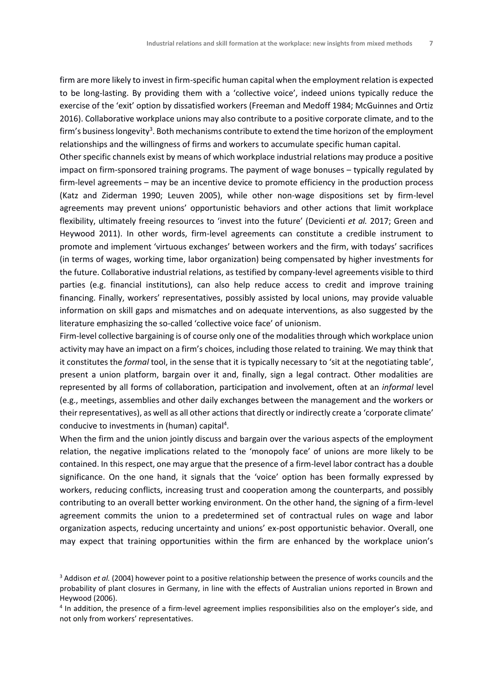firm are more likely to invest in firm-specific human capital when the employment relation is expected to be long-lasting. By providing them with a 'collective voice', indeed unions typically reduce the exercise of the 'exit' option by dissatisfied workers (Freeman and Medoff 1984; McGuinnes and Ortiz 2016). Collaborative workplace unions may also contribute to a positive corporate climate, and to the firm's business longevity $^3$ . Both mechanisms contribute to extend the time horizon of the employment relationships and the willingness of firms and workers to accumulate specific human capital.

Other specific channels exist by means of which workplace industrial relations may produce a positive impact on firm-sponsored training programs. The payment of wage bonuses – typically regulated by firm-level agreements – may be an incentive device to promote efficiency in the production process (Katz and Ziderman 1990; Leuven 2005), while other non-wage dispositions set by firm-level agreements may prevent unions' opportunistic behaviors and other actions that limit workplace flexibility, ultimately freeing resources to 'invest into the future' (Devicienti *et al.* 2017; Green and Heywood 2011). In other words, firm-level agreements can constitute a credible instrument to promote and implement 'virtuous exchanges' between workers and the firm, with todays' sacrifices (in terms of wages, working time, labor organization) being compensated by higher investments for the future. Collaborative industrial relations, as testified by company-level agreements visible to third parties (e.g. financial institutions), can also help reduce access to credit and improve training financing. Finally, workers' representatives, possibly assisted by local unions, may provide valuable information on skill gaps and mismatches and on adequate interventions, as also suggested by the literature emphasizing the so-called 'collective voice face' of unionism.

Firm-level collective bargaining is of course only one of the modalities through which workplace union activity may have an impact on a firm's choices, including those related to training. We may think that it constitutes the *formal* tool, in the sense that it is typically necessary to 'sit at the negotiating table', present a union platform, bargain over it and, finally, sign a legal contract. Other modalities are represented by all forms of collaboration, participation and involvement, often at an *informal* level (e.g., meetings, assemblies and other daily exchanges between the management and the workers or their representatives), as well as all other actions that directly or indirectly create a 'corporate climate' conducive to investments in (human) capital<sup>4</sup>.

When the firm and the union jointly discuss and bargain over the various aspects of the employment relation, the negative implications related to the 'monopoly face' of unions are more likely to be contained. In this respect, one may argue that the presence of a firm-level labor contract has a double significance. On the one hand, it signals that the 'voice' option has been formally expressed by workers, reducing conflicts, increasing trust and cooperation among the counterparts, and possibly contributing to an overall better working environment. On the other hand, the signing of a firm-level agreement commits the union to a predetermined set of contractual rules on wage and labor organization aspects, reducing uncertainty and unions' ex-post opportunistic behavior. Overall, one may expect that training opportunities within the firm are enhanced by the workplace union's

<sup>&</sup>lt;sup>3</sup> Addison *et al.* (2004) however point to a positive relationship between the presence of works councils and the probability of plant closures in Germany, in line with the effects of Australian unions reported in Brown and Heywood (2006).

<sup>&</sup>lt;sup>4</sup> In addition, the presence of a firm-level agreement implies responsibilities also on the employer's side, and not only from workers' representatives.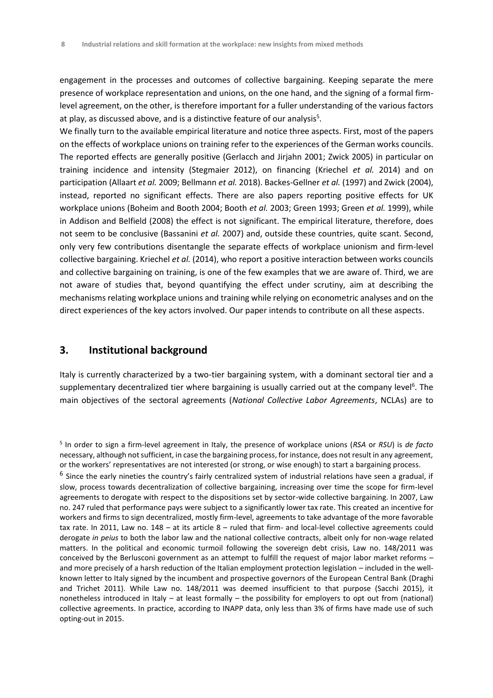engagement in the processes and outcomes of collective bargaining. Keeping separate the mere presence of workplace representation and unions, on the one hand, and the signing of a formal firmlevel agreement, on the other, is therefore important for a fuller understanding of the various factors at play, as discussed above, and is a distinctive feature of our analysis $^5$ .

We finally turn to the available empirical literature and notice three aspects. First, most of the papers on the effects of workplace unions on training refer to the experiences of the German works councils. The reported effects are generally positive (Gerlacch and Jirjahn 2001; Zwick 2005) in particular on training incidence and intensity (Stegmaier 2012), on financing (Kriechel *et al.* 2014) and on participation (Allaart *et al.* 2009; Bellmann *et al.* 2018). Backes-Gellner *et al.* (1997) and Zwick (2004), instead, reported no significant effects. There are also papers reporting positive effects for UK workplace unions (Boheim and Booth 2004; Booth *et al.* 2003; Green 1993; Green *et al.* 1999), while in Addison and Belfield (2008) the effect is not significant. The empirical literature, therefore, does not seem to be conclusive (Bassanini *et al.* 2007) and, outside these countries, quite scant. Second, only very few contributions disentangle the separate effects of workplace unionism and firm-level collective bargaining. Kriechel *et al.* (2014), who report a positive interaction between works councils and collective bargaining on training, is one of the few examples that we are aware of. Third, we are not aware of studies that, beyond quantifying the effect under scrutiny, aim at describing the mechanisms relating workplace unions and training while relying on econometric analyses and on the direct experiences of the key actors involved. Our paper intends to contribute on all these aspects.

## **3. Institutional background**

Italy is currently characterized by a two-tier bargaining system, with a dominant sectoral tier and a supplementary decentralized tier where bargaining is usually carried out at the company level<sup>6</sup>. The main objectives of the sectoral agreements (*National Collective Labor Agreements*, NCLAs) are to

<sup>5</sup> In order to sign a firm-level agreement in Italy, the presence of workplace unions (*RSA* or *RSU*) is *de facto* necessary, although not sufficient, in case the bargaining process, for instance, does not result in any agreement, or the workers' representatives are not interested (or strong, or wise enough) to start a bargaining process.

<sup>&</sup>lt;sup>6</sup> Since the early nineties the country's fairly centralized system of industrial relations have seen a gradual, if slow, process towards decentralization of collective bargaining, increasing over time the scope for firm-level agreements to derogate with respect to the dispositions set by sector-wide collective bargaining. In 2007, Law no. 247 ruled that performance pays were subject to a significantly lower tax rate. This created an incentive for workers and firms to sign decentralized, mostly firm-level, agreements to take advantage of the more favorable tax rate. In 2011, Law no. 148 – at its article 8 – ruled that firm- and local-level collective agreements could derogate *in peius* to both the labor law and the national collective contracts, albeit only for non-wage related matters. In the political and economic turmoil following the sovereign debt crisis, Law no. 148/2011 was conceived by the Berlusconi government as an attempt to fulfill the request of major labor market reforms – and more precisely of a harsh reduction of the Italian employment protection legislation – included in the wellknown letter to Italy signed by the incumbent and prospective governors of the European Central Bank (Draghi and Trichet 2011). While Law no. 148/2011 was deemed insufficient to that purpose (Sacchi 2015), it nonetheless introduced in Italy – at least formally – the possibility for employers to opt out from (national) collective agreements. In practice, according to INAPP data, only less than 3% of firms have made use of such opting-out in 2015.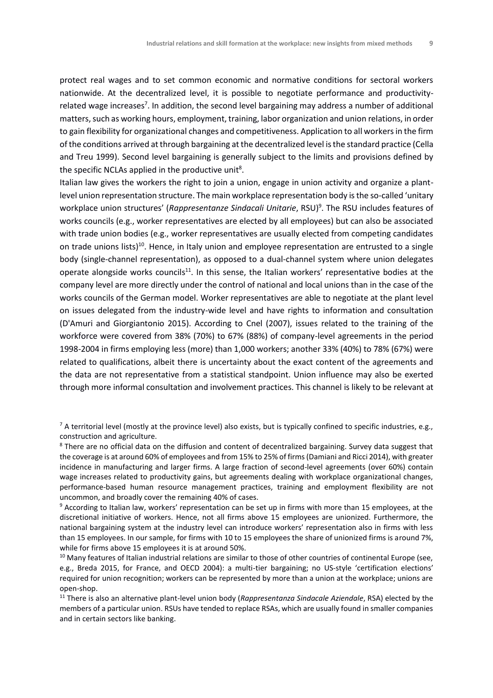protect real wages and to set common economic and normative conditions for sectoral workers nationwide. At the decentralized level, it is possible to negotiate performance and productivityrelated wage increases<sup>7</sup>. In addition, the second level bargaining may address a number of additional matters, such as working hours, employment, training, labor organization and union relations, in order to gain flexibility for organizational changes and competitiveness. Application to all workers in the firm of the conditions arrived at through bargaining at the decentralized level is the standard practice (Cella and Treu 1999). Second level bargaining is generally subject to the limits and provisions defined by the specific NCLAs applied in the productive unit $^8$ .

Italian law gives the workers the right to join a union, engage in union activity and organize a plantlevel union representation structure. The main workplace representation body is the so-called 'unitary workplace union structures' (*Rappresentanze Sindacali Unitarie*, RSU)<sup>9</sup>. The RSU includes features of works councils (e.g., worker representatives are elected by all employees) but can also be associated with trade union bodies (e.g., worker representatives are usually elected from competing candidates on trade unions lists)<sup>10</sup>. Hence, in Italy union and employee representation are entrusted to a single body (single-channel representation), as opposed to a dual-channel system where union delegates operate alongside works councils<sup>11</sup>. In this sense, the Italian workers' representative bodies at the company level are more directly under the control of national and local unions than in the case of the works councils of the German model. Worker representatives are able to negotiate at the plant level on issues delegated from the industry-wide level and have rights to information and consultation (D'Amuri and Giorgiantonio 2015). According to Cnel (2007), issues related to the training of the workforce were covered from 38% (70%) to 67% (88%) of company-level agreements in the period 1998-2004 in firms employing less (more) than 1,000 workers; another 33% (40%) to 78% (67%) were related to qualifications, albeit there is uncertainty about the exact content of the agreements and the data are not representative from a statistical standpoint. Union influence may also be exerted through more informal consultation and involvement practices. This channel is likely to be relevant at

 $^7$  A territorial level (mostly at the province level) also exists, but is typically confined to specific industries, e.g., construction and agriculture.

<sup>8</sup> There are no official data on the diffusion and content of decentralized bargaining. Survey data suggest that the coverage is at around 60% of employees and from 15% to 25% of firms (Damiani and Ricci 2014), with greater incidence in manufacturing and larger firms. A large fraction of second-level agreements (over 60%) contain wage increases related to productivity gains, but agreements dealing with workplace organizational changes, performance-based human resource management practices, training and employment flexibility are not uncommon, and broadly cover the remaining 40% of cases.

<sup>9</sup> According to Italian law, workers' representation can be set up in firms with more than 15 employees, at the discretional initiative of workers. Hence, not all firms above 15 employees are unionized. Furthermore, the national bargaining system at the industry level can introduce workers' representation also in firms with less than 15 employees. In our sample, for firms with 10 to 15 employees the share of unionized firms is around 7%, while for firms above 15 employees it is at around 50%.

<sup>&</sup>lt;sup>10</sup> Many features of Italian industrial relations are similar to those of other countries of continental Europe (see, e.g., Breda 2015, for France, and OECD 2004): a multi-tier bargaining; no US-style 'certification elections' required for union recognition; workers can be represented by more than a union at the workplace; unions are open-shop.

<sup>11</sup> There is also an alternative plant-level union body (*Rappresentanza Sindacale Aziendale*, RSA) elected by the members of a particular union. RSUs have tended to replace RSAs, which are usually found in smaller companies and in certain sectors like banking.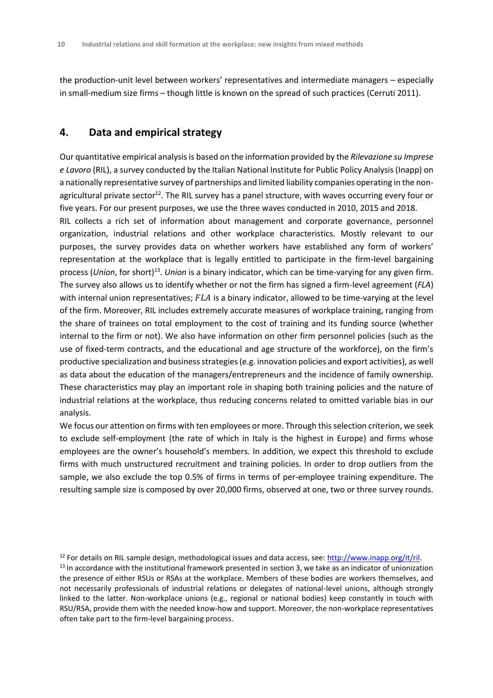the production-unit level between workers' representatives and intermediate managers – especially in small-medium size firms – though little is known on the spread of such practices (Cerruti 2011).

# **4. Data and empirical strategy**

Our quantitative empirical analysis is based on the information provided by the *Rilevazione su Imprese e Lavoro* (RIL), a survey conducted by the Italian National Institute for Public Policy Analysis (Inapp) on a nationally representative survey of partnerships and limited liability companies operating in the nonagricultural private sector<sup>12</sup>. The RIL survey has a panel structure, with waves occurring every four or five years. For our present purposes, we use the three waves conducted in 2010, 2015 and 2018. RIL collects a rich set of information about management and corporate governance, personnel organization, industrial relations and other workplace characteristics. Mostly relevant to our purposes, the survey provides data on whether workers have established any form of workers' representation at the workplace that is legally entitled to participate in the firm-level bargaining process (*Union,* for short)<sup>13</sup>. *Union* is a binary indicator, which can be time-varying for any given firm. The survey also allows us to identify whether or not the firm has signed a firm-level agreement (*FLA*) with internal union representatives;  $FLA$  is a binary indicator, allowed to be time-varying at the level of the firm. Moreover, RIL includes extremely accurate measures of workplace training, ranging from the share of trainees on total employment to the cost of training and its funding source (whether internal to the firm or not). We also have information on other firm personnel policies (such as the use of fixed-term contracts, and the educational and age structure of the workforce), on the firm's productive specialization and business strategies (e.g. innovation policies and export activities), as well as data about the education of the managers/entrepreneurs and the incidence of family ownership. These characteristics may play an important role in shaping both training policies and the nature of industrial relations at the workplace, thus reducing concerns related to omitted variable bias in our analysis.

We focus our attention on firms with ten employees or more. Through this selection criterion, we seek to exclude self-employment (the rate of which in Italy is the highest in Europe) and firms whose employees are the owner's household's members. In addition, we expect this threshold to exclude firms with much unstructured recruitment and training policies. In order to drop outliers from the sample, we also exclude the top 0.5% of firms in terms of per-employee training expenditure. The resulting sample size is composed by over 20,000 firms, observed at one, two or three survey rounds.

<sup>12</sup> For details on RIL sample design, methodological issues and data access, see: [http://www.inapp.org/it/ril.](http://www.inapp.org/it/ril) <sup>13</sup> In accordance with the institutional framework presented in section 3, we take as an indicator of unionization the presence of either RSUs or RSAs at the workplace. Members of these bodies are workers themselves, and not necessarily professionals of industrial relations or delegates of national-level unions, although strongly linked to the latter. Non-workplace unions (e.g., regional or national bodies) keep constantly in touch with RSU/RSA, provide them with the needed know-how and support. Moreover, the non-workplace representatives often take part to the firm-level bargaining process.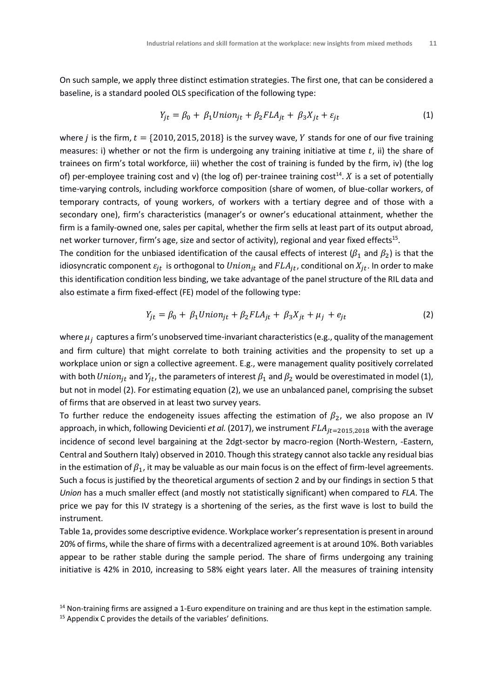On such sample, we apply three distinct estimation strategies. The first one, that can be considered a baseline, is a standard pooled OLS specification of the following type:

$$
Y_{jt} = \beta_0 + \beta_1 Union_{jt} + \beta_2 FLA_{jt} + \beta_3 X_{jt} + \varepsilon_{jt}
$$
\n(1)

where *j* is the firm,  $t = \{2010, 2015, 2018\}$  is the survey wave, *Y* stands for one of our five training measures: i) whether or not the firm is undergoing any training initiative at time  $t$ , ii) the share of trainees on firm's total workforce, iii) whether the cost of training is funded by the firm, iv) (the log of) per-employee training cost and v) (the log of) per-trainee training cost<sup>14</sup>.  $X$  is a set of potentially time-varying controls, including workforce composition (share of women, of blue-collar workers, of temporary contracts, of young workers, of workers with a tertiary degree and of those with a secondary one), firm's characteristics (manager's or owner's educational attainment, whether the firm is a family-owned one, sales per capital, whether the firm sells at least part of its output abroad, net worker turnover, firm's age, size and sector of activity), regional and year fixed effects $^{\rm 15}.$ 

The condition for the unbiased identification of the causal effects of interest ( $\beta_1$  and  $\beta_2$ ) is that the idiosyncratic component  $\varepsilon_{jt}$  is orthogonal to  $Union_{jt}$  and  $FLA_{jt}$ , conditional on  $X_{jt}$ . In order to make this identification condition less binding, we take advantage of the panel structure of the RIL data and also estimate a firm fixed-effect (FE) model of the following type:

$$
Y_{jt} = \beta_0 + \beta_1 Union_{jt} + \beta_2 FLA_{jt} + \beta_3 X_{jt} + \mu_j + e_{jt}
$$
\n(2)

where  $\mu_i$  captures a firm's unobserved time-invariant characteristics (e.g., quality of the management and firm culture) that might correlate to both training activities and the propensity to set up a workplace union or sign a collective agreement. E.g., were management quality positively correlated with both *Union<sub>it</sub>* and  $Y_{it}$ , the parameters of interest  $\beta_1$  and  $\beta_2$  would be overestimated in model (1), but not in model (2). For estimating equation (2), we use an unbalanced panel, comprising the subset of firms that are observed in at least two survey years.

To further reduce the endogeneity issues affecting the estimation of  $\beta_2$ , we also propose an IV approach, in which, following Devicienti *et al.* (2017), we instrument  $FLA_{it=2015,2018}$  with the average incidence of second level bargaining at the 2dgt-sector by macro-region (North-Western, -Eastern, Central and Southern Italy) observed in 2010. Though this strategy cannot also tackle any residual bias in the estimation of  $\beta_1$ , it may be valuable as our main focus is on the effect of firm-level agreements. Such a focus is justified by the theoretical arguments of section 2 and by our findings in section 5 that *Union* has a much smaller effect (and mostly not statistically significant) when compared to *FLA*. The price we pay for this IV strategy is a shortening of the series, as the first wave is lost to build the instrument.

Table 1a, provides some descriptive evidence. Workplace worker's representation is present in around 20% of firms, while the share of firms with a decentralized agreement is at around 10%. Both variables appear to be rather stable during the sample period. The share of firms undergoing any training initiative is 42% in 2010, increasing to 58% eight years later. All the measures of training intensity

<sup>&</sup>lt;sup>14</sup> Non-training firms are assigned a 1-Euro expenditure on training and are thus kept in the estimation sample.

<sup>&</sup>lt;sup>15</sup> Appendix C provides the details of the variables' definitions.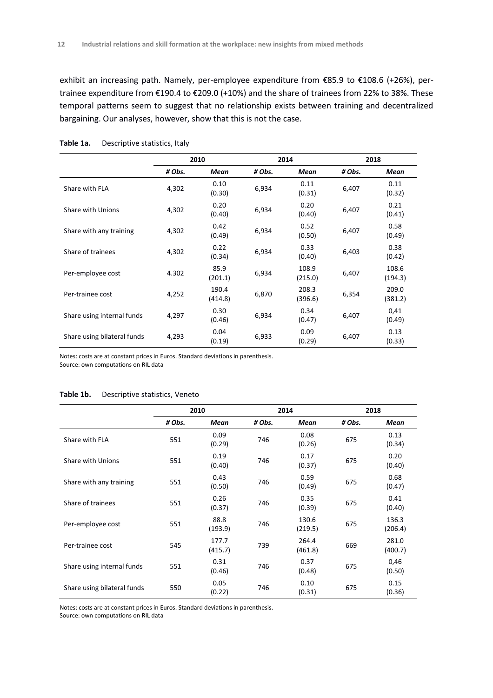exhibit an increasing path. Namely, per-employee expenditure from €85.9 to €108.6 (+26%), pertrainee expenditure from €190.4 to €209.0 (+10%) and the share of trainees from 22% to 38%. These temporal patterns seem to suggest that no relationship exists between training and decentralized bargaining. Our analyses, however, show that this is not the case.

|                             |        | 2010             |        | 2014             | 2018   |                  |
|-----------------------------|--------|------------------|--------|------------------|--------|------------------|
|                             | # Obs. | Mean             | # Obs. | Mean             | # Obs. | Mean             |
| Share with FLA              | 4,302  | 0.10<br>(0.30)   | 6,934  | 0.11<br>(0.31)   | 6,407  | 0.11<br>(0.32)   |
| Share with Unions           | 4,302  | 0.20<br>(0.40)   | 6,934  | 0.20<br>(0.40)   | 6,407  | 0.21<br>(0.41)   |
| Share with any training     | 4,302  | 0.42<br>(0.49)   | 6,934  | 0.52<br>(0.50)   | 6,407  | 0.58<br>(0.49)   |
| Share of trainees           | 4,302  | 0.22<br>(0.34)   | 6,934  | 0.33<br>(0.40)   | 6,403  | 0.38<br>(0.42)   |
| Per-employee cost           | 4.302  | 85.9<br>(201.1)  | 6,934  | 108.9<br>(215.0) | 6,407  | 108.6<br>(194.3) |
| Per-trainee cost            | 4,252  | 190.4<br>(414.8) | 6,870  | 208.3<br>(396.6) | 6,354  | 209.0<br>(381.2) |
| Share using internal funds  | 4,297  | 0.30<br>(0.46)   | 6,934  | 0.34<br>(0.47)   | 6,407  | 0,41<br>(0.49)   |
| Share using bilateral funds | 4,293  | 0.04<br>(0.19)   | 6,933  | 0.09<br>(0.29)   | 6,407  | 0.13<br>(0.33)   |

**Table 1a.** Descriptive statistics, Italy

Notes: costs are at constant prices in Euros. Standard deviations in parenthesis.

Source: own computations on RIL data

#### **Table 1b.** Descriptive statistics, Veneto

|                             | 2010   |                  |        | 2014             |        | 2018             |  |
|-----------------------------|--------|------------------|--------|------------------|--------|------------------|--|
|                             | # Obs. | Mean             | # Obs. | Mean             | # Obs. | Mean             |  |
| Share with FLA              | 551    | 0.09<br>(0.29)   | 746    | 0.08<br>(0.26)   | 675    | 0.13<br>(0.34)   |  |
| <b>Share with Unions</b>    | 551    | 0.19<br>(0.40)   | 746    | 0.17<br>(0.37)   | 675    | 0.20<br>(0.40)   |  |
| Share with any training     | 551    | 0.43<br>(0.50)   | 746    | 0.59<br>(0.49)   | 675    | 0.68<br>(0.47)   |  |
| Share of trainees           | 551    | 0.26<br>(0.37)   | 746    | 0.35<br>(0.39)   | 675    | 0.41<br>(0.40)   |  |
| Per-employee cost           | 551    | 88.8<br>(193.9)  | 746    | 130.6<br>(219.5) | 675    | 136.3<br>(206.4) |  |
| Per-trainee cost            | 545    | 177.7<br>(415.7) | 739    | 264.4<br>(461.8) | 669    | 281.0<br>(400.7) |  |
| Share using internal funds  | 551    | 0.31<br>(0.46)   | 746    | 0.37<br>(0.48)   | 675    | 0,46<br>(0.50)   |  |
| Share using bilateral funds | 550    | 0.05<br>(0.22)   | 746    | 0.10<br>(0.31)   | 675    | 0.15<br>(0.36)   |  |

Notes: costs are at constant prices in Euros. Standard deviations in parenthesis.

Source: own computations on RIL data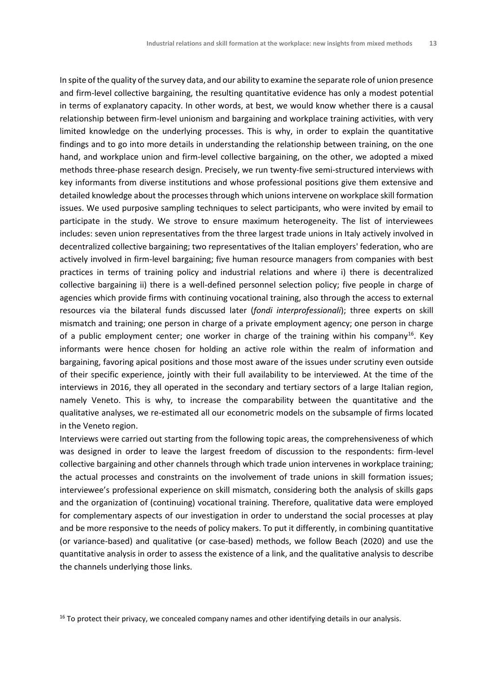In spite of the quality of the survey data, and our ability to examine the separate role of union presence and firm-level collective bargaining, the resulting quantitative evidence has only a modest potential in terms of explanatory capacity. In other words, at best, we would know whether there is a causal relationship between firm-level unionism and bargaining and workplace training activities, with very limited knowledge on the underlying processes. This is why, in order to explain the quantitative findings and to go into more details in understanding the relationship between training, on the one hand, and workplace union and firm-level collective bargaining, on the other, we adopted a mixed methods three-phase research design. Precisely, we run twenty-five semi-structured interviews with key informants from diverse institutions and whose professional positions give them extensive and detailed knowledge about the processes through which unions intervene on workplace skill formation issues. We used purposive sampling techniques to select participants, who were invited by email to participate in the study. We strove to ensure maximum heterogeneity. The list of interviewees includes: seven union representatives from the three largest trade unions in Italy actively involved in decentralized collective bargaining; two representatives of the Italian employers' federation, who are actively involved in firm-level bargaining; five human resource managers from companies with best practices in terms of training policy and industrial relations and where i) there is decentralized collective bargaining ii) there is a well-defined personnel selection policy; five people in charge of agencies which provide firms with continuing vocational training, also through the access to external resources via the bilateral funds discussed later (*fondi interprofessionali*); three experts on skill mismatch and training; one person in charge of a private employment agency; one person in charge of a public employment center; one worker in charge of the training within his company<sup>16</sup>. Key informants were hence chosen for holding an active role within the realm of information and bargaining, favoring apical positions and those most aware of the issues under scrutiny even outside of their specific experience, jointly with their full availability to be interviewed. At the time of the interviews in 2016, they all operated in the secondary and tertiary sectors of a large Italian region, namely Veneto. This is why, to increase the comparability between the quantitative and the qualitative analyses, we re-estimated all our econometric models on the subsample of firms located in the Veneto region.

Interviews were carried out starting from the following topic areas, the comprehensiveness of which was designed in order to leave the largest freedom of discussion to the respondents: firm-level collective bargaining and other channels through which trade union intervenes in workplace training; the actual processes and constraints on the involvement of trade unions in skill formation issues; interviewee's professional experience on skill mismatch, considering both the analysis of skills gaps and the organization of (continuing) vocational training. Therefore, qualitative data were employed for complementary aspects of our investigation in order to understand the social processes at play and be more responsive to the needs of policy makers. To put it differently, in combining quantitative (or variance-based) and qualitative (or case-based) methods, we follow Beach (2020) and use the quantitative analysis in order to assess the existence of a link, and the qualitative analysis to describe the channels underlying those links.

 $16$  To protect their privacy, we concealed company names and other identifying details in our analysis.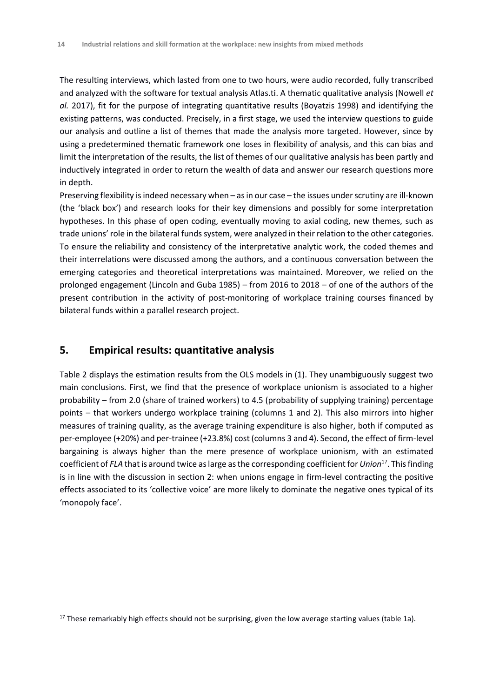The resulting interviews, which lasted from one to two hours, were audio recorded, fully transcribed and analyzed with the software for textual analysis Atlas.ti. A thematic qualitative analysis (Nowell *et al.* 2017), fit for the purpose of integrating quantitative results (Boyatzis 1998) and identifying the existing patterns, was conducted. Precisely, in a first stage, we used the interview questions to guide our analysis and outline a list of themes that made the analysis more targeted. However, since by using a predetermined thematic framework one loses in flexibility of analysis, and this can bias and limit the interpretation of the results, the list of themes of our qualitative analysis has been partly and inductively integrated in order to return the wealth of data and answer our research questions more in depth.

Preserving flexibility is indeed necessary when – as in our case – the issues under scrutiny are ill-known (the 'black box') and research looks for their key dimensions and possibly for some interpretation hypotheses. In this phase of open coding, eventually moving to axial coding, new themes, such as trade unions' role in the bilateral funds system, were analyzed in their relation to the other categories. To ensure the reliability and consistency of the interpretative analytic work, the coded themes and their interrelations were discussed among the authors, and a continuous conversation between the emerging categories and theoretical interpretations was maintained. Moreover, we relied on the prolonged engagement (Lincoln and Guba 1985) – from 2016 to 2018 – of one of the authors of the present contribution in the activity of post-monitoring of workplace training courses financed by bilateral funds within a parallel research project.

## **5. Empirical results: quantitative analysis**

Table 2 displays the estimation results from the OLS models in (1). They unambiguously suggest two main conclusions. First, we find that the presence of workplace unionism is associated to a higher probability – from 2.0 (share of trained workers) to 4.5 (probability of supplying training) percentage points – that workers undergo workplace training (columns 1 and 2). This also mirrors into higher measures of training quality, as the average training expenditure is also higher, both if computed as per-employee (+20%) and per-trainee (+23.8%) cost (columns 3 and 4). Second, the effect of firm-level bargaining is always higher than the mere presence of workplace unionism, with an estimated coefficient of *FLA* that is around twice as large as the corresponding coefficient for *Union*<sup>17</sup> . This finding is in line with the discussion in section 2: when unions engage in firm-level contracting the positive effects associated to its 'collective voice' are more likely to dominate the negative ones typical of its 'monopoly face'.

 $17$  These remarkably high effects should not be surprising, given the low average starting values (table 1a).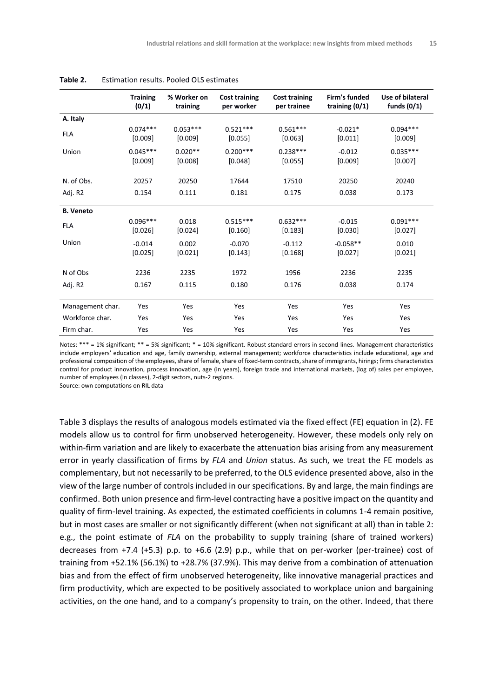|                  | <b>Training</b><br>(0/1) | % Worker on<br>training | <b>Cost training</b><br>per worker | <b>Cost training</b><br>per trainee | Firm's funded<br>training $(0/1)$ | Use of bilateral<br>funds $(0/1)$ |
|------------------|--------------------------|-------------------------|------------------------------------|-------------------------------------|-----------------------------------|-----------------------------------|
| A. Italy         |                          |                         |                                    |                                     |                                   |                                   |
| <b>FLA</b>       | $0.074***$<br>[0.009]    | $0.053***$<br>[0.009]   | $0.521***$<br>[0.055]              | $0.561***$<br>[0.063]               | $-0.021*$<br>[0.011]              | $0.094***$<br>[0.009]             |
| Union            | $0.045***$<br>[0.009]    | $0.020**$<br>[0.008]    | $0.200***$<br>[0.048]              | $0.238***$<br>[0.055]               | $-0.012$<br>[0.009]               | $0.035***$<br>[0.007]             |
| N. of Obs.       | 20257                    | 20250                   | 17644                              | 17510                               | 20250                             | 20240                             |
| Adj. R2          | 0.154                    | 0.111                   | 0.181                              | 0.175                               | 0.038                             | 0.173                             |
| <b>B. Veneto</b> |                          |                         |                                    |                                     |                                   |                                   |
| <b>FLA</b>       | $0.096***$<br>[0.026]    | 0.018<br>[0.024]        | $0.515***$<br>[0.160]              | $0.632***$<br>[0.183]               | $-0.015$<br>[0.030]               | $0.091***$<br>[0.027]             |
| Union            | $-0.014$<br>[0.025]      | 0.002<br>[0.021]        | $-0.070$<br>[0.143]                | $-0.112$<br>[0.168]                 | $-0.058**$<br>[0.027]             | 0.010<br>[0.021]                  |
| N of Obs         | 2236                     | 2235                    | 1972                               | 1956                                | 2236                              | 2235                              |
| Adj. R2          | 0.167                    | 0.115                   | 0.180                              | 0.176                               | 0.038                             | 0.174                             |
| Management char. | Yes                      | Yes                     | Yes                                | Yes                                 | Yes                               | Yes                               |
| Workforce char.  | Yes                      | Yes                     | Yes                                | Yes                                 | Yes                               | Yes                               |
| Firm char.       | Yes                      | Yes                     | Yes                                | Yes                                 | Yes                               | Yes                               |

#### **Table 2.** Estimation results. Pooled OLS estimates

Notes: \*\*\* = 1% significant; \*\* = 5% significant; \* = 10% significant. Robust standard errors in second lines. Management characteristics include employers' education and age, family ownership, external management; workforce characteristics include educational, age and professional composition of the employees, share of female, share of fixed-term contracts, share of immigrants, hirings; firms characteristics control for product innovation, process innovation, age (in years), foreign trade and international markets, (log of) sales per employee, number of employees (in classes), 2-digit sectors, nuts-2 regions.

Source: own computations on RIL data

Table 3 displays the results of analogous models estimated via the fixed effect (FE) equation in (2). FE models allow us to control for firm unobserved heterogeneity. However, these models only rely on within-firm variation and are likely to exacerbate the attenuation bias arising from any measurement error in yearly classification of firms by *FLA* and *Union* status. As such, we treat the FE models as complementary, but not necessarily to be preferred, to the OLS evidence presented above, also in the view of the large number of controls included in our specifications. By and large, the main findings are confirmed. Both union presence and firm-level contracting have a positive impact on the quantity and quality of firm-level training. As expected, the estimated coefficients in columns 1-4 remain positive, but in most cases are smaller or not significantly different (when not significant at all) than in table 2: e.g., the point estimate of *FLA* on the probability to supply training (share of trained workers) decreases from +7.4 (+5.3) p.p. to +6.6 (2.9) p.p., while that on per-worker (per-trainee) cost of training from +52.1% (56.1%) to +28.7% (37.9%). This may derive from a combination of attenuation bias and from the effect of firm unobserved heterogeneity, like innovative managerial practices and firm productivity, which are expected to be positively associated to workplace union and bargaining activities, on the one hand, and to a company's propensity to train, on the other. Indeed, that there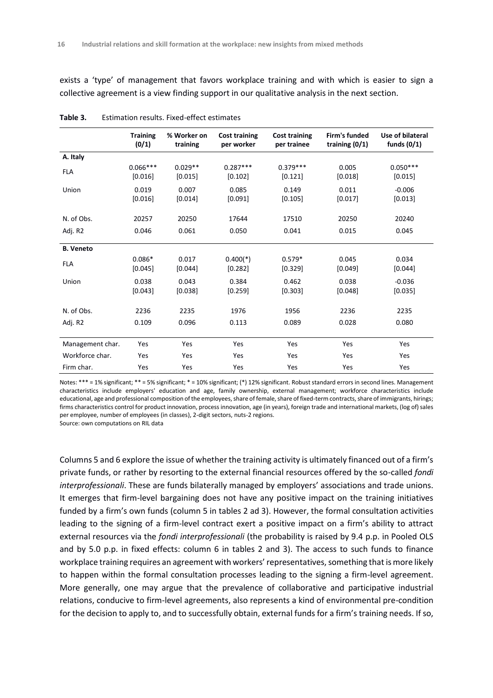exists a 'type' of management that favors workplace training and with which is easier to sign a collective agreement is a view finding support in our qualitative analysis in the next section.

|                  | <b>Training</b><br>(0/1) | % Worker on<br>training | <b>Cost training</b><br>per worker | <b>Cost training</b><br>per trainee | Firm's funded<br>training $(0/1)$ | Use of bilateral<br>funds $(0/1)$ |
|------------------|--------------------------|-------------------------|------------------------------------|-------------------------------------|-----------------------------------|-----------------------------------|
| A. Italy         |                          |                         |                                    |                                     |                                   |                                   |
| <b>FLA</b>       | $0.066***$<br>[0.016]    | $0.029**$<br>[0.015]    | $0.287***$<br>[0.102]              | $0.379***$<br>[0.121]               | 0.005<br>[0.018]                  | $0.050***$<br>[0.015]             |
| Union            | 0.019<br>[0.016]         | 0.007<br>[0.014]        | 0.085<br>[0.091]                   | 0.149<br>[0.105]                    | 0.011<br>[0.017]                  | $-0.006$<br>[0.013]               |
| N. of Obs.       | 20257                    | 20250                   | 17644                              | 17510                               | 20250                             | 20240                             |
| Adj. R2          | 0.046                    | 0.061                   | 0.050                              | 0.041                               | 0.015                             | 0.045                             |
| <b>B.</b> Veneto |                          |                         |                                    |                                     |                                   |                                   |
| <b>FLA</b>       | $0.086*$<br>[0.045]      | 0.017<br>[0.044]        | $0.400(*)$<br>[0.282]              | $0.579*$<br>[0.329]                 | 0.045<br>[0.049]                  | 0.034<br>[0.044]                  |
| Union            | 0.038<br>[0.043]         | 0.043<br>[0.038]        | 0.384<br>[0.259]                   | 0.462<br>[0.303]                    | 0.038<br>[0.048]                  | $-0.036$<br>[0.035]               |
| N. of Obs.       | 2236                     | 2235                    | 1976                               | 1956                                | 2236                              | 2235                              |
| Adj. R2          | 0.109                    | 0.096                   | 0.113                              | 0.089                               | 0.028                             | 0.080                             |
| Management char. | Yes                      | Yes                     | Yes                                | Yes                                 | Yes                               | Yes                               |
| Workforce char.  | Yes                      | Yes                     | Yes                                | Yes                                 | Yes                               | Yes                               |
| Firm char.       | Yes                      | Yes                     | Yes                                | Yes                                 | Yes                               | Yes                               |

| Table 3. |  | Estimation results. Fixed-effect estimates |  |
|----------|--|--------------------------------------------|--|
|          |  |                                            |  |

Notes: \*\*\* = 1% significant; \*\* = 5% significant; \* = 10% significant; (\*) 12% significant. Robust standard errors in second lines. Management characteristics include employers' education and age, family ownership, external management; workforce characteristics include educational, age and professional composition of the employees, share of female, share of fixed-term contracts, share of immigrants, hirings; firms characteristics control for product innovation, process innovation, age (in years), foreign trade and international markets, (log of) sales per employee, number of employees (in classes), 2-digit sectors, nuts-2 regions.

Source: own computations on RIL data

Columns 5 and 6 explore the issue of whether the training activity is ultimately financed out of a firm's private funds, or rather by resorting to the external financial resources offered by the so-called *fondi interprofessionali*. These are funds bilaterally managed by employers' associations and trade unions. It emerges that firm-level bargaining does not have any positive impact on the training initiatives funded by a firm's own funds (column 5 in tables 2 ad 3). However, the formal consultation activities leading to the signing of a firm-level contract exert a positive impact on a firm's ability to attract external resources via the *fondi interprofessionali* (the probability is raised by 9.4 p.p. in Pooled OLS and by 5.0 p.p. in fixed effects: column 6 in tables 2 and 3). The access to such funds to finance workplace training requires an agreement with workers' representatives, something that is more likely to happen within the formal consultation processes leading to the signing a firm-level agreement. More generally, one may argue that the prevalence of collaborative and participative industrial relations, conducive to firm-level agreements, also represents a kind of environmental pre-condition for the decision to apply to, and to successfully obtain, external funds for a firm's training needs. If so,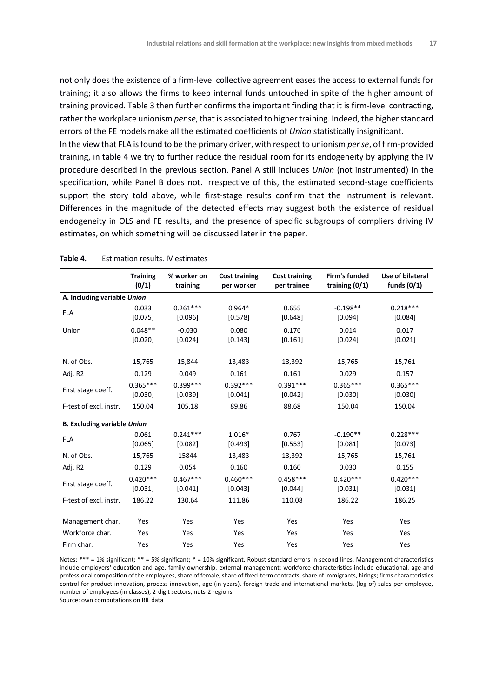not only does the existence of a firm-level collective agreement eases the access to external funds for training; it also allows the firms to keep internal funds untouched in spite of the higher amount of training provided. Table 3 then further confirms the important finding that it is firm-level contracting, rather the workplace unionism *per se*, that is associated to higher training. Indeed, the higher standard errors of the FE models make all the estimated coefficients of *Union* statistically insignificant. In the view that FLA is found to be the primary driver, with respect to unionism *per se*, of firm-provided training, in table 4 we try to further reduce the residual room for its endogeneity by applying the IV procedure described in the previous section. Panel A still includes *Union* (not instrumented) in the specification, while Panel B does not. Irrespective of this, the estimated second-stage coefficients support the story told above, while first-stage results confirm that the instrument is relevant. Differences in the magnitude of the detected effects may suggest both the existence of residual endogeneity in OLS and FE results, and the presence of specific subgroups of compliers driving IV estimates, on which something will be discussed later in the paper.

|                                    | <b>Training</b><br>(0/1) | % worker on<br>training | <b>Cost training</b><br>per worker | <b>Cost training</b><br>per trainee | Firm's funded<br>training $(0/1)$ | Use of bilateral<br>funds $(0/1)$ |
|------------------------------------|--------------------------|-------------------------|------------------------------------|-------------------------------------|-----------------------------------|-----------------------------------|
| A. Including variable Union        |                          |                         |                                    |                                     |                                   |                                   |
| <b>FLA</b>                         | 0.033<br>[0.075]         | $0.261***$<br>[0.096]   | $0.964*$<br>[0.578]                | 0.655<br>[0.648]                    | $-0.198**$<br>[0.094]             | $0.218***$<br>[0.084]             |
| Union                              | $0.048**$<br>[0.020]     | $-0.030$<br>[0.024]     | 0.080<br>[0.143]                   | 0.176<br>[0.161]                    | 0.014<br>[0.024]                  | 0.017<br>[0.021]                  |
| N. of Obs.                         | 15,765                   | 15,844                  | 13,483                             | 13,392                              | 15,765                            | 15,761                            |
| Adj. R2                            | 0.129                    | 0.049                   | 0.161                              | 0.161                               | 0.029                             | 0.157                             |
| First stage coeff.                 | $0.365***$<br>[0.030]    | $0.399***$<br>[0.039]   | $0.392***$<br>[0.041]              | $0.391***$<br>[0.042]               | $0.365***$<br>[0.030]             | $0.365***$<br>[0.030]             |
| F-test of excl. instr.             | 150.04                   | 105.18                  | 89.86                              | 88.68                               | 150.04                            | 150.04                            |
| <b>B. Excluding variable Union</b> |                          |                         |                                    |                                     |                                   |                                   |
| <b>FLA</b>                         | 0.061<br>[0.065]         | $0.241***$<br>[0.082]   | $1.016*$<br>[0.493]                | 0.767<br>[0.553]                    | $-0.190**$<br>[0.081]             | $0.228***$<br>[0.073]             |
| N. of Obs.                         | 15,765                   | 15844                   | 13,483                             | 13,392                              | 15,765                            | 15,761                            |
| Adj. R2                            | 0.129                    | 0.054                   | 0.160                              | 0.160                               | 0.030                             | 0.155                             |
| First stage coeff.                 | $0.420***$<br>[0.031]    | $0.467***$<br>[0.041]   | $0.460***$<br>[0.043]              | $0.458***$<br>[0.044]               | $0.420***$<br>[0.031]             | $0.420***$<br>[0.031]             |
| F-test of excl. instr.             | 186.22                   | 130.64                  | 111.86                             | 110.08                              | 186.22                            | 186.25                            |
|                                    |                          |                         |                                    |                                     |                                   |                                   |
| Management char.                   | Yes                      | Yes                     | Yes                                | Yes                                 | Yes                               | Yes                               |
| Workforce char.                    | Yes                      | Yes                     | Yes                                | Yes                                 | Yes                               | Yes                               |
| Firm char.                         | Yes                      | Yes                     | Yes                                | Yes                                 | Yes                               | Yes                               |

#### **Table 4.** Estimation results. IV estimates

Notes: \*\*\* = 1% significant; \*\* = 5% significant; \* = 10% significant. Robust standard errors in second lines. Management characteristics include employers' education and age, family ownership, external management; workforce characteristics include educational, age and professional composition of the employees, share of female, share of fixed-term contracts, share of immigrants, hirings; firms characteristics control for product innovation, process innovation, age (in years), foreign trade and international markets, (log of) sales per employee, number of employees (in classes), 2-digit sectors, nuts-2 regions.

Source: own computations on RIL data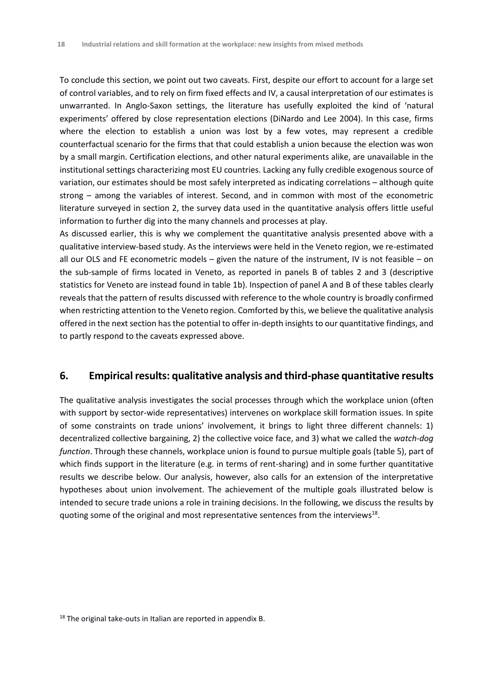To conclude this section, we point out two caveats. First, despite our effort to account for a large set of control variables, and to rely on firm fixed effects and IV, a causal interpretation of our estimates is unwarranted. In Anglo-Saxon settings, the literature has usefully exploited the kind of 'natural experiments' offered by close representation elections (DiNardo and Lee 2004). In this case, firms where the election to establish a union was lost by a few votes, may represent a credible counterfactual scenario for the firms that that could establish a union because the election was won by a small margin. Certification elections, and other natural experiments alike, are unavailable in the institutional settings characterizing most EU countries. Lacking any fully credible exogenous source of variation, our estimates should be most safely interpreted as indicating correlations – although quite strong – among the variables of interest. Second, and in common with most of the econometric literature surveyed in section 2, the survey data used in the quantitative analysis offers little useful information to further dig into the many channels and processes at play.

As discussed earlier, this is why we complement the quantitative analysis presented above with a qualitative interview-based study. As the interviews were held in the Veneto region, we re-estimated all our OLS and FE econometric models – given the nature of the instrument, IV is not feasible – on the sub-sample of firms located in Veneto, as reported in panels B of tables 2 and 3 (descriptive statistics for Veneto are instead found in table 1b). Inspection of panel A and B of these tables clearly reveals that the pattern of results discussed with reference to the whole country is broadly confirmed when restricting attention to the Veneto region. Comforted by this, we believe the qualitative analysis offered in the next section has the potential to offer in-depth insights to our quantitative findings, and to partly respond to the caveats expressed above.

## **6. Empirical results: qualitative analysis and third-phase quantitative results**

The qualitative analysis investigates the social processes through which the workplace union (often with support by sector-wide representatives) intervenes on workplace skill formation issues. In spite of some constraints on trade unions' involvement, it brings to light three different channels: 1) decentralized collective bargaining, 2) the collective voice face, and 3) what we called the *watch-dog function*. Through these channels, workplace union is found to pursue multiple goals (table 5), part of which finds support in the literature (e.g. in terms of rent-sharing) and in some further quantitative results we describe below. Our analysis, however, also calls for an extension of the interpretative hypotheses about union involvement. The achievement of the multiple goals illustrated below is intended to secure trade unions a role in training decisions. In the following, we discuss the results by quoting some of the original and most representative sentences from the interviews<sup>18</sup>.

<sup>&</sup>lt;sup>18</sup> The original take-outs in Italian are reported in appendix B.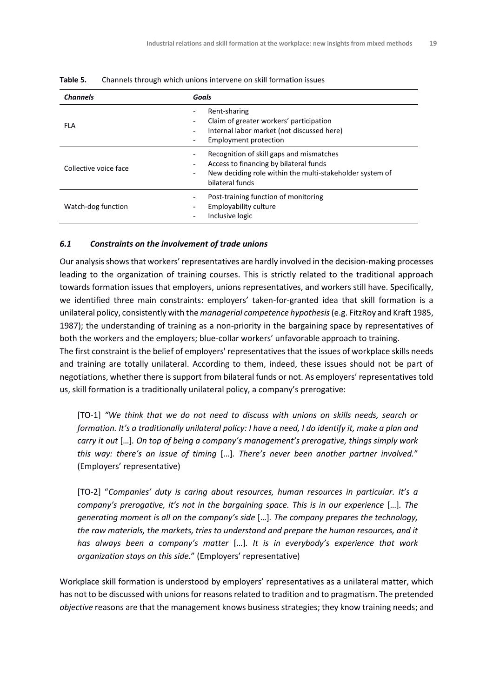| <b>Channels</b>       | Goals                                                                                                                                                                                         |
|-----------------------|-----------------------------------------------------------------------------------------------------------------------------------------------------------------------------------------------|
| FLA                   | Rent-sharing<br>Claim of greater workers' participation<br>Internal labor market (not discussed here)<br><b>Employment protection</b>                                                         |
| Collective voice face | Recognition of skill gaps and mismatches<br>Access to financing by bilateral funds<br>New deciding role within the multi-stakeholder system of<br>$\overline{\phantom{a}}$<br>bilateral funds |
| Watch-dog function    | Post-training function of monitoring<br>Employability culture<br>Inclusive logic                                                                                                              |

**Table 5.** Channels through which unions intervene on skill formation issues

#### *6.1 Constraints on the involvement of trade unions*

Our analysis shows that workers' representatives are hardly involved in the decision-making processes leading to the organization of training courses. This is strictly related to the traditional approach towards formation issues that employers, unions representatives, and workers still have. Specifically, we identified three main constraints: employers' taken-for-granted idea that skill formation is a unilateral policy, consistently with the *managerial competence hypothesis*(e.g. FitzRoy and Kraft 1985, 1987); the understanding of training as a non-priority in the bargaining space by representatives of both the workers and the employers; blue-collar workers' unfavorable approach to training.

The first constraint is the belief of employers' representatives that the issues of workplace skills needs and training are totally unilateral. According to them, indeed, these issues should not be part of negotiations, whether there is support from bilateral funds or not. As employers' representatives told us, skill formation is a traditionally unilateral policy, a company's prerogative:

[TO-1] *"We think that we do not need to discuss with unions on skills needs, search or formation. It's a traditionally unilateral policy: I have a need, I do identify it, make a plan and carry it out* […]*. On top of being a company's management's prerogative, things simply work this way: there's an issue of timing* […]*. There's never been another partner involved.*" (Employers' representative)

[TO-2] "*Companies' duty is caring about resources, human resources in particular. It's a company's prerogative, it's not in the bargaining space. This is in our experience* [...]. The *generating moment is all on the company's side* […]*. The company prepares the technology, the raw materials, the markets, tries to understand and prepare the human resources, and it has always been a company's matter* […]*. It is in everybody's experience that work organization stays on this side.*" (Employers' representative)

Workplace skill formation is understood by employers' representatives as a unilateral matter, which has not to be discussed with unions for reasons related to tradition and to pragmatism. The pretended *objective* reasons are that the management knows business strategies; they know training needs; and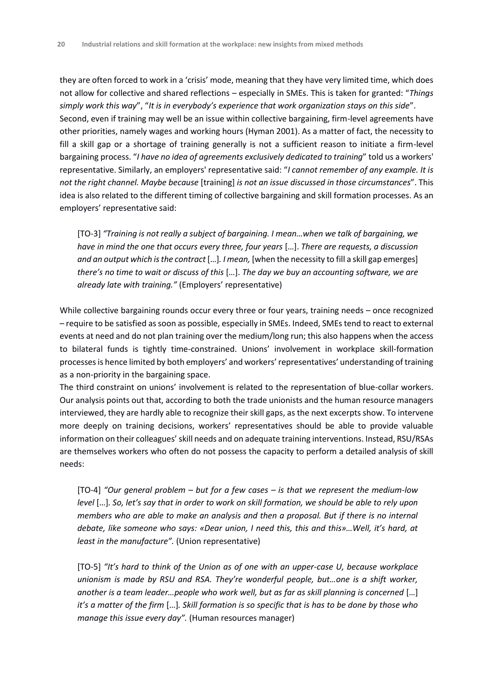they are often forced to work in a 'crisis' mode, meaning that they have very limited time, which does not allow for collective and shared reflections – especially in SMEs. This is taken for granted: "*Things simply work this way*", "*It is in everybody's experience that work organization stays on this side*". Second, even if training may well be an issue within collective bargaining, firm-level agreements have other priorities, namely wages and working hours (Hyman 2001). As a matter of fact, the necessity to fill a skill gap or a shortage of training generally is not a sufficient reason to initiate a firm-level bargaining process. "*I have no idea of agreements exclusively dedicated to training*" told us a workers' representative. Similarly, an employers' representative said: "*I cannot remember of any example. It is not the right channel. Maybe because* [training] *is not an issue discussed in those circumstances*". This idea is also related to the different timing of collective bargaining and skill formation processes. As an employers' representative said:

[TO-3] *"Training is not really a subject of bargaining. I mean…when we talk of bargaining, we have in mind the one that occurs every three, four years* […]. *There are requests, a discussion and an output which is the contract* […]*. I mean,* [when the necessity to fill a skill gap emerges] *there's no time to wait or discuss of this* […]. *The day we buy an accounting software, we are already late with training."* (Employers' representative)

While collective bargaining rounds occur every three or four years, training needs – once recognized – require to be satisfied as soon as possible, especially in SMEs. Indeed, SMEs tend to react to external events at need and do not plan training over the medium/long run; this also happens when the access to bilateral funds is tightly time-constrained. Unions' involvement in workplace skill-formation processes is hence limited by both employers' and workers' representatives' understanding of training as a non-priority in the bargaining space.

The third constraint on unions' involvement is related to the representation of blue-collar workers. Our analysis points out that, according to both the trade unionists and the human resource managers interviewed, they are hardly able to recognize their skill gaps, as the next excerpts show. To intervene more deeply on training decisions, workers' representatives should be able to provide valuable information on their colleagues' skill needs and on adequate training interventions. Instead, RSU/RSAs are themselves workers who often do not possess the capacity to perform a detailed analysis of skill needs:

[TO-4] *"Our general problem – but for a few cases – is that we represent the medium-low level* […]*. So, let's say that in order to work on skill formation, we should be able to rely upon members who are able to make an analysis and then a proposal. But if there is no internal debate, like someone who says: «Dear union, I need this, this and this»…Well, it's hard, at least in the manufacture".* (Union representative)

[TO-5] *"It's hard to think of the Union as of one with an upper-case U, because workplace unionism is made by RSU and RSA. They're wonderful people, but…one is a shift worker, another is a team leader…people who work well, but as far as skill planning is concerned* […] *it's a matter of the firm* […]*. Skill formation is so specific that is has to be done by those who manage this issue every day".* (Human resources manager)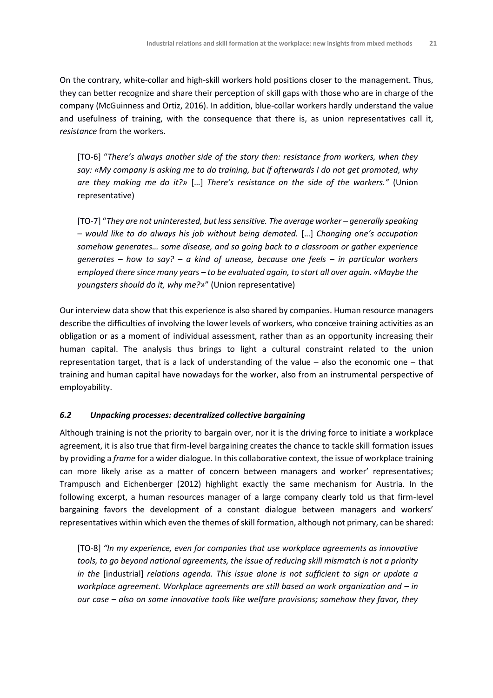On the contrary, white-collar and high-skill workers hold positions closer to the management. Thus, they can better recognize and share their perception of skill gaps with those who are in charge of the company (McGuinness and Ortiz, 2016). In addition, blue-collar workers hardly understand the value and usefulness of training, with the consequence that there is, as union representatives call it, *resistance* from the workers.

[TO-6] "*There's always another side of the story then: resistance from workers, when they say: «My company is asking me to do training, but if afterwards I do not get promoted, why are they making me do it?»* […] *There's resistance on the side of the workers."* (Union representative)

[TO-7] "They are not uninterested, but less sensitive. The average worker – generally speaking *– would like to do always his job without being demoted.* […] *Changing one's occupation somehow generates… some disease, and so going back to a classroom or gather experience generates – how to say? – a kind of unease, because one feels – in particular workers employed there since many years – to be evaluated again, to start all over again. «Maybe the youngsters should do it, why me?»*" (Union representative)

Our interview data show that this experience is also shared by companies. Human resource managers describe the difficulties of involving the lower levels of workers, who conceive training activities as an obligation or as a moment of individual assessment, rather than as an opportunity increasing their human capital. The analysis thus brings to light a cultural constraint related to the union representation target, that is a lack of understanding of the value – also the economic one – that training and human capital have nowadays for the worker, also from an instrumental perspective of employability.

#### *6.2 Unpacking processes: decentralized collective bargaining*

Although training is not the priority to bargain over, nor it is the driving force to initiate a workplace agreement, it is also true that firm-level bargaining creates the chance to tackle skill formation issues by providing a *frame* for a wider dialogue. In this collaborative context, the issue of workplace training can more likely arise as a matter of concern between managers and worker' representatives; Trampusch and Eichenberger (2012) highlight exactly the same mechanism for Austria. In the following excerpt, a human resources manager of a large company clearly told us that firm-level bargaining favors the development of a constant dialogue between managers and workers' representatives within which even the themes of skill formation, although not primary, can be shared:

[TO-8] *"In my experience, even for companies that use workplace agreements as innovative tools, to go beyond national agreements, the issue of reducing skill mismatch is not a priority in the* [industrial] *relations agenda. This issue alone is not sufficient to sign or update a workplace agreement. Workplace agreements are still based on work organization and – in our case – also on some innovative tools like welfare provisions; somehow they favor, they*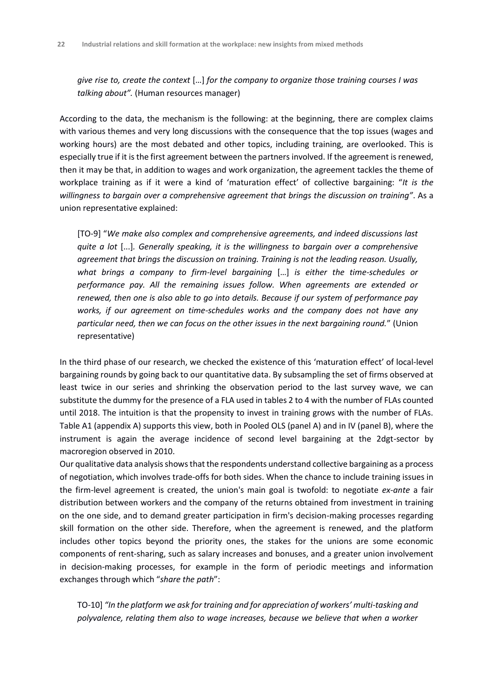*give rise to, create the context* […] *for the company to organize those training courses I was talking about".* (Human resources manager)

According to the data, the mechanism is the following: at the beginning, there are complex claims with various themes and very long discussions with the consequence that the top issues (wages and working hours) are the most debated and other topics, including training, are overlooked. This is especially true if it is the first agreement between the partners involved. If the agreement is renewed, then it may be that, in addition to wages and work organization, the agreement tackles the theme of workplace training as if it were a kind of 'maturation effect' of collective bargaining: "*It is the willingness to bargain over a comprehensive agreement that brings the discussion on training"*. As a union representative explained:

[TO-9] "*We make also complex and comprehensive agreements, and indeed discussions last quite a lot* [...]*. Generally speaking, it is the willingness to bargain over a comprehensive agreement that brings the discussion on training. Training is not the leading reason. Usually, what brings a company to firm-level bargaining* […] *is either the time-schedules or performance pay. All the remaining issues follow. When agreements are extended or renewed, then one is also able to go into details. Because if our system of performance pay works, if our agreement on time-schedules works and the company does not have any particular need, then we can focus on the other issues in the next bargaining round.*" (Union representative)

In the third phase of our research, we checked the existence of this 'maturation effect' of local-level bargaining rounds by going back to our quantitative data. By subsampling the set of firms observed at least twice in our series and shrinking the observation period to the last survey wave, we can substitute the dummy for the presence of a FLA used in tables 2 to 4 with the number of FLAs counted until 2018. The intuition is that the propensity to invest in training grows with the number of FLAs. Table A1 (appendix A) supports this view, both in Pooled OLS (panel A) and in IV (panel B), where the instrument is again the average incidence of second level bargaining at the 2dgt-sector by macroregion observed in 2010.

Our qualitative data analysis shows that the respondents understand collective bargaining as a process of negotiation, which involves trade-offs for both sides. When the chance to include training issues in the firm-level agreement is created, the union's main goal is twofold: to negotiate *ex-ante* a fair distribution between workers and the company of the returns obtained from investment in training on the one side, and to demand greater participation in firm's decision-making processes regarding skill formation on the other side. Therefore, when the agreement is renewed, and the platform includes other topics beyond the priority ones, the stakes for the unions are some economic components of rent-sharing, such as salary increases and bonuses, and a greater union involvement in decision-making processes, for example in the form of periodic meetings and information exchanges through which "*share the path*":

TO-10] "In the platform we ask for training and for appreciation of workers' multi-tasking and *polyvalence, relating them also to wage increases, because we believe that when a worker*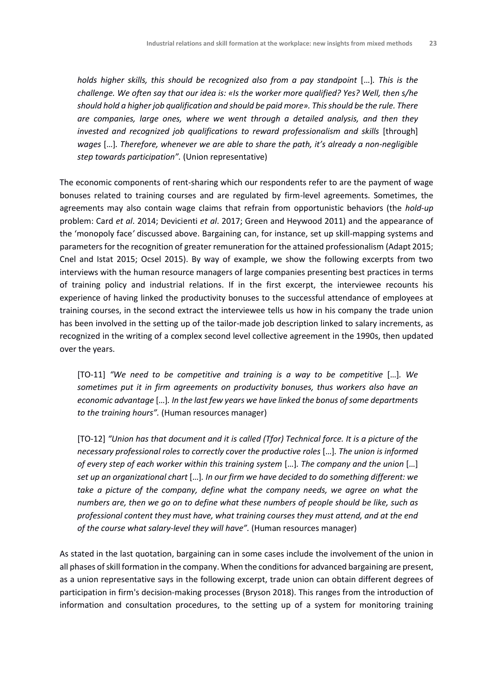*holds higher skills, this should be recognized also from a pay standpoint* [...]. This is the *challenge. We often say that our idea is: «Is the worker more qualified? Yes? Well, then s/he should hold a higher job qualification and should be paid more». This should be the rule. There are companies, large ones, where we went through a detailed analysis, and then they invested and recognized job qualifications to reward professionalism and skills* [through] *wages* […]*. Therefore, whenever we are able to share the path, it's already a non-negligible step towards participation".* (Union representative)

The economic components of rent-sharing which our respondents refer to are the payment of wage bonuses related to training courses and are regulated by firm-level agreements. Sometimes, the agreements may also contain wage claims that refrain from opportunistic behaviors (the *hold-up* problem: Card *et al*. 2014; Devicienti *et al*. 2017; Green and Heywood 2011) and the appearance of the 'monopoly face*'* discussed above. Bargaining can, for instance, set up skill-mapping systems and parameters for the recognition of greater remuneration for the attained professionalism (Adapt 2015; Cnel and Istat 2015; Ocsel 2015). By way of example, we show the following excerpts from two interviews with the human resource managers of large companies presenting best practices in terms of training policy and industrial relations. If in the first excerpt, the interviewee recounts his experience of having linked the productivity bonuses to the successful attendance of employees at training courses, in the second extract the interviewee tells us how in his company the trade union has been involved in the setting up of the tailor-made job description linked to salary increments, as recognized in the writing of a complex second level collective agreement in the 1990s, then updated over the years.

[TO-11] *"We need to be competitive and training is a way to be competitive* […]*. We sometimes put it in firm agreements on productivity bonuses, thus workers also have an economic advantage* […]*. In the last few years we have linked the bonus of some departments to the training hours".* (Human resources manager)

[TO-12] *"Union has that document and it is called (Tfor) Technical force. It is a picture of the necessary professional roles to correctly cover the productive roles* […]*. The union is informed of every step of each worker within this training system* […]*. The company and the union* […] *set up an organizational chart* […]*. In our firm we have decided to do something different: we take a picture of the company, define what the company needs, we agree on what the numbers are, then we go on to define what these numbers of people should be like, such as professional content they must have, what training courses they must attend, and at the end of the course what salary-level they will have".* (Human resources manager)

As stated in the last quotation, bargaining can in some cases include the involvement of the union in all phases of skill formation in the company. When the conditions for advanced bargaining are present, as a union representative says in the following excerpt, trade union can obtain different degrees of participation in firm's decision-making processes (Bryson 2018). This ranges from the introduction of information and consultation procedures, to the setting up of a system for monitoring training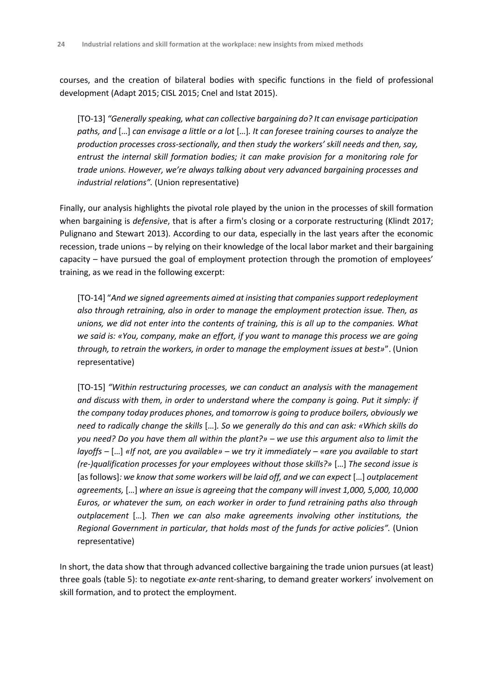courses, and the creation of bilateral bodies with specific functions in the field of professional development (Adapt 2015; CISL 2015; Cnel and Istat 2015).

[TO-13] *"Generally speaking, what can collective bargaining do? It can envisage participation paths, and* […] *can envisage a little or a lot* […]*. It can foresee training courses to analyze the production processes cross-sectionally, and then study the workers' skill needs and then, say, entrust the internal skill formation bodies; it can make provision for a monitoring role for trade unions. However, we're always talking about very advanced bargaining processes and industrial relations".* (Union representative)

Finally, our analysis highlights the pivotal role played by the union in the processes of skill formation when bargaining is *defensive*, that is after a firm's closing or a corporate restructuring (Klindt 2017; Pulignano and Stewart 2013). According to our data, especially in the last years after the economic recession, trade unions – by relying on their knowledge of the local labor market and their bargaining capacity – have pursued the goal of employment protection through the promotion of employees' training, as we read in the following excerpt:

[TO-14] "*And we signed agreements aimed at insisting that companies support redeployment also through retraining, also in order to manage the employment protection issue. Then, as unions, we did not enter into the contents of training, this is all up to the companies. What we said is: «You, company, make an effort, if you want to manage this process we are going through, to retrain the workers, in order to manage the employment issues at best»*". (Union representative)

[TO-15] *"Within restructuring processes, we can conduct an analysis with the management and discuss with them, in order to understand where the company is going. Put it simply: if the company today produces phones, and tomorrow is going to produce boilers, obviously we need to radically change the skills* […]*. So we generally do this and can ask: «Which skills do you need? Do you have them all within the plant?» – we use this argument also to limit the layoffs –* […] *«If not, are you available» – we try it immediately – «are you available to start (re-)qualification processes for your employees without those skills?»* […] *The second issue is*  [as follows]*: we know that some workers will be laid off, and we can expect* […] *outplacement agreements,* […] *where an issue is agreeing that the company will invest 1,000, 5,000, 10,000 Euros, or whatever the sum, on each worker in order to fund retraining paths also through outplacement* […]*. Then we can also make agreements involving other institutions, the Regional Government in particular, that holds most of the funds for active policies".* (Union representative)

In short, the data show that through advanced collective bargaining the trade union pursues (at least) three goals (table 5): to negotiate *ex-ante* rent-sharing, to demand greater workers' involvement on skill formation, and to protect the employment.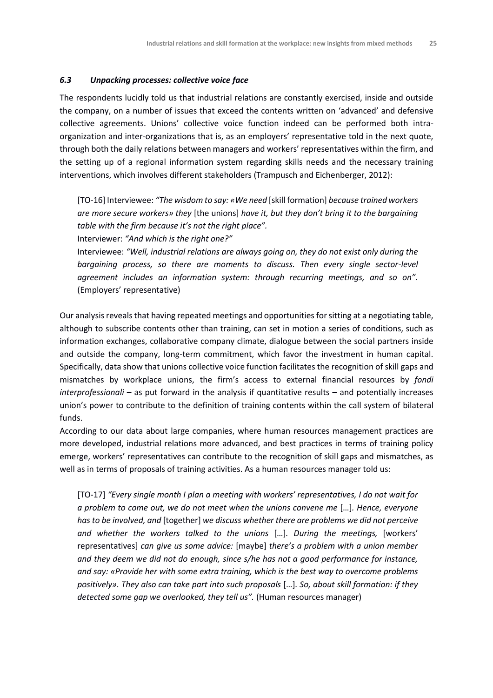#### *6.3 Unpacking processes: collective voice face*

The respondents lucidly told us that industrial relations are constantly exercised, inside and outside the company, on a number of issues that exceed the contents written on 'advanced' and defensive collective agreements. Unions' collective voice function indeed can be performed both intraorganization and inter-organizations that is, as an employers' representative told in the next quote, through both the daily relations between managers and workers' representatives within the firm, and the setting up of a regional information system regarding skills needs and the necessary training interventions, which involves different stakeholders (Trampusch and Eichenberger, 2012):

[TO-16] Interviewee: *"The wisdom to say: «We need* [skill formation] *because trained workers are more secure workers» they* [the unions] *have it, but they don't bring it to the bargaining table with the firm because it's not the right place".*

Interviewer: *"And which is the right one?"*

Interviewee: *"Well, industrial relations are always going on, they do not exist only during the bargaining process, so there are moments to discuss. Then every single sector-level agreement includes an information system: through recurring meetings, and so on".*  (Employers' representative)

Our analysis reveals that having repeated meetings and opportunities for sitting at a negotiating table, although to subscribe contents other than training, can set in motion a series of conditions, such as information exchanges, collaborative company climate, dialogue between the social partners inside and outside the company, long-term commitment, which favor the investment in human capital. Specifically, data show that unions collective voice function facilitates the recognition of skill gaps and mismatches by workplace unions, the firm's access to external financial resources by *fondi interprofessionali* – as put forward in the analysis if quantitative results – and potentially increases union's power to contribute to the definition of training contents within the call system of bilateral funds.

According to our data about large companies, where human resources management practices are more developed, industrial relations more advanced, and best practices in terms of training policy emerge, workers' representatives can contribute to the recognition of skill gaps and mismatches, as well as in terms of proposals of training activities. As a human resources manager told us:

[TO-17] *"Every single month I plan a meeting with workers' representatives, I do not wait for a problem to come out, we do not meet when the unions convene me* […]*. Hence, everyone has to be involved, and* [together] *we discuss whether there are problems we did not perceive and whether the workers talked to the unions* […]*. During the meetings,* [workers' representatives] *can give us some advice:* [maybe] *there's a problem with a union member and they deem we did not do enough, since s/he has not a good performance for instance, and say: «Provide her with some extra training, which is the best way to overcome problems positively». They also can take part into such proposals* […]*. So, about skill formation: if they detected some gap we overlooked, they tell us".* (Human resources manager)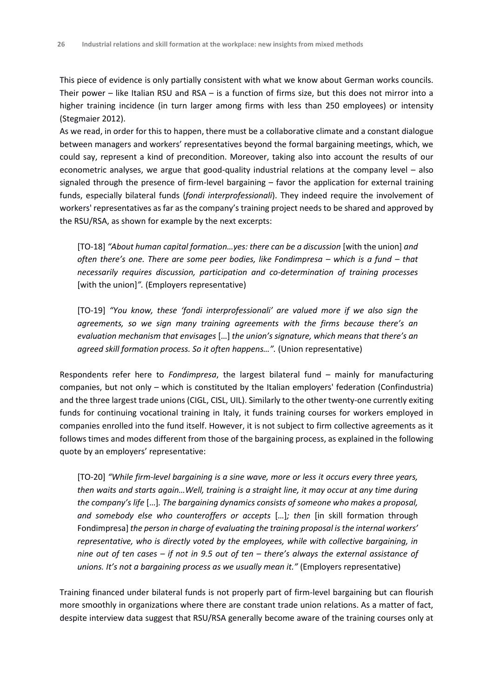This piece of evidence is only partially consistent with what we know about German works councils. Their power – like Italian RSU and RSA – is a function of firms size, but this does not mirror into a higher training incidence (in turn larger among firms with less than 250 employees) or intensity (Stegmaier 2012).

As we read, in order for this to happen, there must be a collaborative climate and a constant dialogue between managers and workers' representatives beyond the formal bargaining meetings, which, we could say, represent a kind of precondition. Moreover, taking also into account the results of our econometric analyses, we argue that good-quality industrial relations at the company level – also signaled through the presence of firm-level bargaining – favor the application for external training funds, especially bilateral funds (*fondi interprofessionali*). They indeed require the involvement of workers' representatives as far as the company's training project needs to be shared and approved by the RSU/RSA, as shown for example by the next excerpts:

[TO-18] *"About human capital formation…yes: there can be a discussion* [with the union] *and often there's one. There are some peer bodies, like Fondimpresa – which is a fund – that necessarily requires discussion, participation and co-determination of training processes*  [with the union]*".* (Employers representative)

[TO-19] *"You know, these 'fondi interprofessionali' are valued more if we also sign the agreements, so we sign many training agreements with the firms because there's an evaluation mechanism that envisages* […] *the union's signature, which means that there's an agreed skill formation process. So it often happens…".* (Union representative)

Respondents refer here to *Fondimpresa*, the largest bilateral fund – mainly for manufacturing companies, but not only – which is constituted by the Italian employers' federation (Confindustria) and the three largest trade unions (CIGL, CISL, UIL). Similarly to the other twenty-one currently exiting funds for continuing vocational training in Italy, it funds training courses for workers employed in companies enrolled into the fund itself. However, it is not subject to firm collective agreements as it follows times and modes different from those of the bargaining process, as explained in the following quote by an employers' representative:

[TO-20] *"While firm-level bargaining is a sine wave, more or less it occurs every three years, then waits and starts again…Well, training is a straight line, it may occur at any time during the company's life* […]*. The bargaining dynamics consists of someone who makes a proposal, and somebody else who counteroffers or accepts* […]*; then* [in skill formation through Fondimpresa] *the person in charge of evaluating the training proposal is the internal workers' representative, who is directly voted by the employees, while with collective bargaining, in nine out of ten cases – if not in 9.5 out of ten – there's always the external assistance of unions. It's not a bargaining process as we usually mean it."* (Employers representative)

Training financed under bilateral funds is not properly part of firm-level bargaining but can flourish more smoothly in organizations where there are constant trade union relations. As a matter of fact, despite interview data suggest that RSU/RSA generally become aware of the training courses only at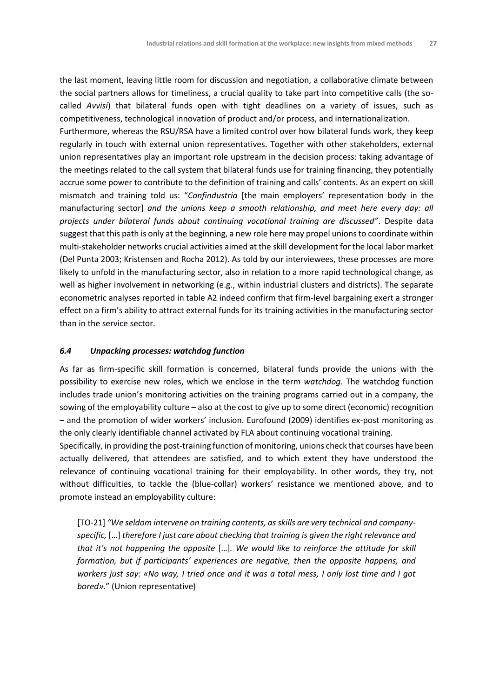the last moment, leaving little room for discussion and negotiation, a collaborative climate between the social partners allows for timeliness, a crucial quality to take part into competitive calls (the socalled *Avvisi*) that bilateral funds open with tight deadlines on a variety of issues, such as competitiveness, technological innovation of product and/or process, and internationalization.

Furthermore, whereas the RSU/RSA have a limited control over how bilateral funds work, they keep regularly in touch with external union representatives. Together with other stakeholders, external union representatives play an important role upstream in the decision process: taking advantage of the meetings related to the call system that bilateral funds use for training financing, they potentially accrue some power to contribute to the definition of training and calls' contents. As an expert on skill mismatch and training told us: "*Confindustria* [the main employers' representation body in the manufacturing sector] *and the unions keep a smooth relationship, and meet here every day: all projects under bilateral funds about continuing vocational training are discussed"*. Despite data suggest that this path is only at the beginning, a new role here may propel unions to coordinate within multi-stakeholder networks crucial activities aimed at the skill development for the local labor market (Del Punta 2003; Kristensen and Rocha 2012). As told by our interviewees, these processes are more likely to unfold in the manufacturing sector, also in relation to a more rapid technological change, as well as higher involvement in networking (e.g., within industrial clusters and districts). The separate econometric analyses reported in table A2 indeed confirm that firm-level bargaining exert a stronger effect on a firm's ability to attract external funds for its training activities in the manufacturing sector than in the service sector.

#### *6.4 Unpacking processes: watchdog function*

As far as firm-specific skill formation is concerned, bilateral funds provide the unions with the possibility to exercise new roles, which we enclose in the term *watchdog*. The watchdog function includes trade union's monitoring activities on the training programs carried out in a company, the sowing of the employability culture – also at the cost to give up to some direct (economic) recognition – and the promotion of wider workers' inclusion. Eurofound (2009) identifies ex-post monitoring as the only clearly identifiable channel activated by FLA about continuing vocational training.

Specifically, in providing the post-training function of monitoring, unions check that courses have been actually delivered, that attendees are satisfied, and to which extent they have understood the relevance of continuing vocational training for their employability. In other words, they try, not without difficulties, to tackle the (blue-collar) workers' resistance we mentioned above, and to promote instead an employability culture:

[TO-21] *"We seldom intervene on training contents, as skills are very technical and companyspecific,* […] *therefore I just care about checking that training is given the right relevance and that it's not happening the opposite* […]*. We would like to reinforce the attitude for skill formation, but if participants' experiences are negative, then the opposite happens, and workers just say: «No way, I tried once and it was a total mess, I only lost time and I got bored».*" (Union representative)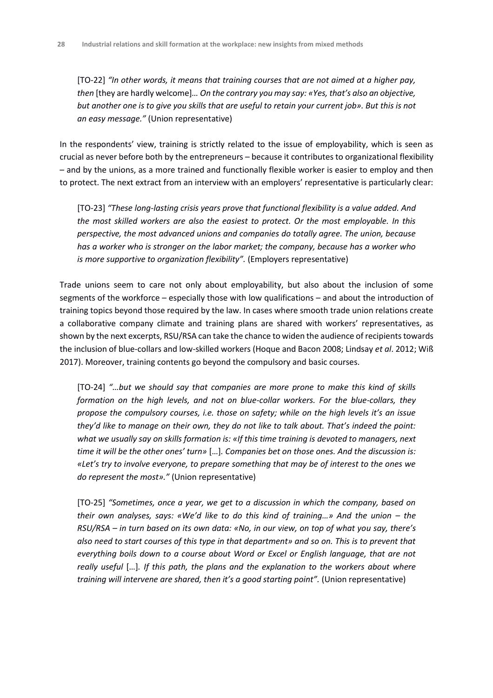[TO-22] *"In other words, it means that training courses that are not aimed at a higher pay, then* [they are hardly welcome]*… On the contrary you may say: «Yes, that's also an objective, but another one is to give you skills that are useful to retain your current job». But this is not an easy message."* (Union representative)

In the respondents' view, training is strictly related to the issue of employability, which is seen as crucial as never before both by the entrepreneurs – because it contributes to organizational flexibility – and by the unions, as a more trained and functionally flexible worker is easier to employ and then to protect. The next extract from an interview with an employers' representative is particularly clear:

[TO-23] *"These long-lasting crisis years prove that functional flexibility is a value added. And the most skilled workers are also the easiest to protect. Or the most employable. In this perspective, the most advanced unions and companies do totally agree. The union, because has a worker who is stronger on the labor market; the company, because has a worker who is more supportive to organization flexibility".* (Employers representative)

Trade unions seem to care not only about employability, but also about the inclusion of some segments of the workforce – especially those with low qualifications – and about the introduction of training topics beyond those required by the law. In cases where smooth trade union relations create a collaborative company climate and training plans are shared with workers' representatives, as shown by the next excerpts, RSU/RSA can take the chance to widen the audience of recipients towards the inclusion of blue-collars and low-skilled workers (Hoque and Bacon 2008; Lindsay *et al*. 2012; Wiß 2017). Moreover, training contents go beyond the compulsory and basic courses.

[TO-24] *"…but we should say that companies are more prone to make this kind of skills formation on the high levels, and not on blue-collar workers. For the blue-collars, they propose the compulsory courses, i.e. those on safety; while on the high levels it's an issue they'd like to manage on their own, they do not like to talk about. That's indeed the point: what we usually say on skills formation is: «If this time training is devoted to managers, next time it will be the other ones' turn»* […]*. Companies bet on those ones. And the discussion is: «Let's try to involve everyone, to prepare something that may be of interest to the ones we do represent the most»."* (Union representative)

[TO-25] *"Sometimes, once a year, we get to a discussion in which the company, based on their own analyses, says: «We'd like to do this kind of training…» And the union – the RSU/RSA – in turn based on its own data: «No, in our view, on top of what you say, there's also need to start courses of this type in that department» and so on. This is to prevent that everything boils down to a course about Word or Excel or English language, that are not really useful* […]*. If this path, the plans and the explanation to the workers about where training will intervene are shared, then it's a good starting point".* (Union representative)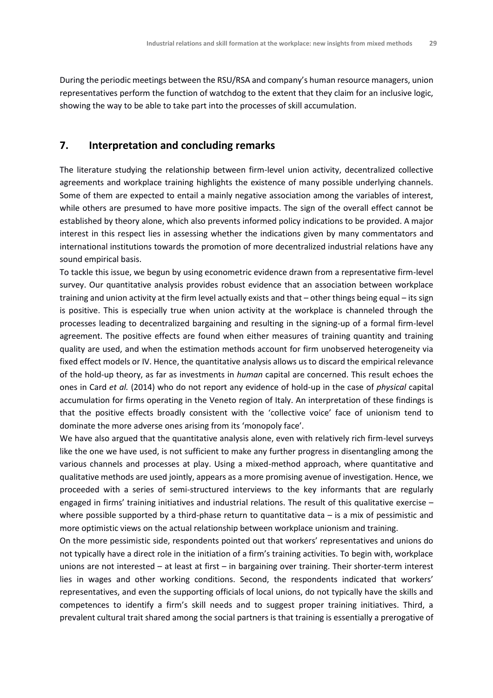During the periodic meetings between the RSU/RSA and company's human resource managers, union representatives perform the function of watchdog to the extent that they claim for an inclusive logic, showing the way to be able to take part into the processes of skill accumulation.

# **7. Interpretation and concluding remarks**

The literature studying the relationship between firm-level union activity, decentralized collective agreements and workplace training highlights the existence of many possible underlying channels. Some of them are expected to entail a mainly negative association among the variables of interest, while others are presumed to have more positive impacts. The sign of the overall effect cannot be established by theory alone, which also prevents informed policy indications to be provided. A major interest in this respect lies in assessing whether the indications given by many commentators and international institutions towards the promotion of more decentralized industrial relations have any sound empirical basis.

To tackle this issue, we begun by using econometric evidence drawn from a representative firm-level survey. Our quantitative analysis provides robust evidence that an association between workplace training and union activity at the firm level actually exists and that – other things being equal – its sign is positive. This is especially true when union activity at the workplace is channeled through the processes leading to decentralized bargaining and resulting in the signing-up of a formal firm-level agreement. The positive effects are found when either measures of training quantity and training quality are used, and when the estimation methods account for firm unobserved heterogeneity via fixed effect models or IV. Hence, the quantitative analysis allows us to discard the empirical relevance of the hold-up theory, as far as investments in *human* capital are concerned. This result echoes the ones in Card *et al.* (2014) who do not report any evidence of hold-up in the case of *physical* capital accumulation for firms operating in the Veneto region of Italy. An interpretation of these findings is that the positive effects broadly consistent with the 'collective voice' face of unionism tend to dominate the more adverse ones arising from its 'monopoly face'.

We have also argued that the quantitative analysis alone, even with relatively rich firm-level surveys like the one we have used, is not sufficient to make any further progress in disentangling among the various channels and processes at play. Using a mixed-method approach, where quantitative and qualitative methods are used jointly, appears as a more promising avenue of investigation. Hence, we proceeded with a series of semi-structured interviews to the key informants that are regularly engaged in firms' training initiatives and industrial relations. The result of this qualitative exercise – where possible supported by a third-phase return to quantitative data – is a mix of pessimistic and more optimistic views on the actual relationship between workplace unionism and training.

On the more pessimistic side, respondents pointed out that workers' representatives and unions do not typically have a direct role in the initiation of a firm's training activities. To begin with, workplace unions are not interested – at least at first – in bargaining over training. Their shorter-term interest lies in wages and other working conditions. Second, the respondents indicated that workers' representatives, and even the supporting officials of local unions, do not typically have the skills and competences to identify a firm's skill needs and to suggest proper training initiatives. Third, a prevalent cultural trait shared among the social partners is that training is essentially a prerogative of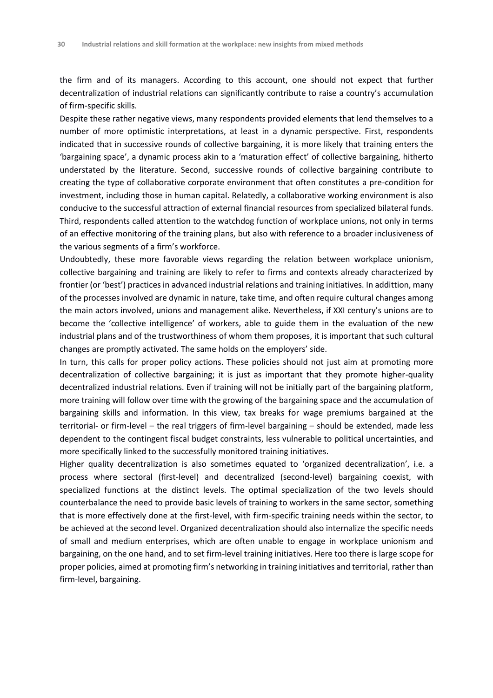the firm and of its managers. According to this account, one should not expect that further decentralization of industrial relations can significantly contribute to raise a country's accumulation of firm-specific skills.

Despite these rather negative views, many respondents provided elements that lend themselves to a number of more optimistic interpretations, at least in a dynamic perspective. First, respondents indicated that in successive rounds of collective bargaining, it is more likely that training enters the 'bargaining space', a dynamic process akin to a 'maturation effect' of collective bargaining, hitherto understated by the literature. Second, successive rounds of collective bargaining contribute to creating the type of collaborative corporate environment that often constitutes a pre-condition for investment, including those in human capital. Relatedly, a collaborative working environment is also conducive to the successful attraction of external financial resources from specialized bilateral funds. Third, respondents called attention to the watchdog function of workplace unions, not only in terms of an effective monitoring of the training plans, but also with reference to a broader inclusiveness of the various segments of a firm's workforce.

Undoubtedly, these more favorable views regarding the relation between workplace unionism, collective bargaining and training are likely to refer to firms and contexts already characterized by frontier (or 'best') practices in advanced industrial relations and training initiatives. In addittion, many of the processes involved are dynamic in nature, take time, and often require cultural changes among the main actors involved, unions and management alike. Nevertheless, if XXI century's unions are to become the 'collective intelligence' of workers, able to guide them in the evaluation of the new industrial plans and of the trustworthiness of whom them proposes, it is important that such cultural changes are promptly activated. The same holds on the employers' side.

In turn, this calls for proper policy actions. These policies should not just aim at promoting more decentralization of collective bargaining; it is just as important that they promote higher-quality decentralized industrial relations. Even if training will not be initially part of the bargaining platform, more training will follow over time with the growing of the bargaining space and the accumulation of bargaining skills and information. In this view, tax breaks for wage premiums bargained at the territorial- or firm-level – the real triggers of firm-level bargaining – should be extended, made less dependent to the contingent fiscal budget constraints, less vulnerable to political uncertainties, and more specifically linked to the successfully monitored training initiatives.

Higher quality decentralization is also sometimes equated to 'organized decentralization', i.e. a process where sectoral (first-level) and decentralized (second-level) bargaining coexist, with specialized functions at the distinct levels. The optimal specialization of the two levels should counterbalance the need to provide basic levels of training to workers in the same sector, something that is more effectively done at the first-level, with firm-specific training needs within the sector, to be achieved at the second level. Organized decentralization should also internalize the specific needs of small and medium enterprises, which are often unable to engage in workplace unionism and bargaining, on the one hand, and to set firm-level training initiatives. Here too there is large scope for proper policies, aimed at promoting firm's networking in training initiatives and territorial, rather than firm-level, bargaining.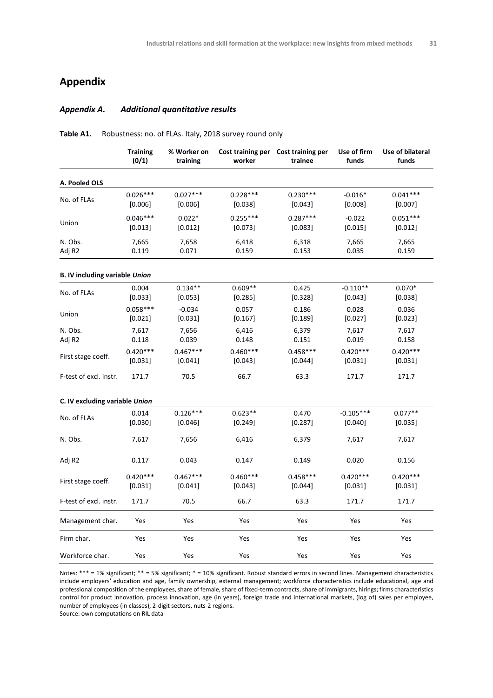# **Appendix**

#### *Appendix A. Additional quantitative results*

|                                       | <b>Training</b><br>(0/1) | % Worker on<br>training | worker                | Cost training per Cost training per<br>trainee | Use of firm<br>funds   | Use of bilateral<br>funds |
|---------------------------------------|--------------------------|-------------------------|-----------------------|------------------------------------------------|------------------------|---------------------------|
| A. Pooled OLS                         |                          |                         |                       |                                                |                        |                           |
| No. of FLAs                           | $0.026***$<br>[0.006]    | $0.027***$<br>[0.006]   | $0.228***$<br>[0.038] | $0.230***$<br>[0.043]                          | $-0.016*$<br>[0.008]   | $0.041***$<br>[0.007]     |
| Union                                 | $0.046***$<br>[0.013]    | $0.022*$<br>[0.012]     | $0.255***$<br>[0.073] | $0.287***$<br>[0.083]                          | $-0.022$<br>[0.015]    | $0.051***$<br>[0.012]     |
| N. Obs.<br>Adj R2                     | 7,665<br>0.119           | 7,658<br>0.071          | 6,418<br>0.159        | 6,318<br>0.153                                 | 7,665<br>0.035         | 7,665<br>0.159            |
| <b>B. IV including variable Union</b> |                          |                         |                       |                                                |                        |                           |
| No. of FLAs                           | 0.004<br>[0.033]         | $0.134**$<br>[0.053]    | $0.609**$<br>[0.285]  | 0.425<br>[0.328]                               | $-0.110**$<br>[0.043]  | $0.070*$<br>[0.038]       |
| Union                                 | $0.058***$<br>[0.021]    | $-0.034$<br>[0.031]     | 0.057<br>[0.167]      | 0.186<br>[0.189]                               | 0.028<br>[0.027]       | 0.036<br>[0.023]          |
| N. Obs.<br>Adj R2                     | 7,617<br>0.118           | 7,656<br>0.039          | 6,416<br>0.148        | 6,379<br>0.151                                 | 7,617<br>0.019         | 7,617<br>0.158            |
| First stage coeff.                    | $0.420***$<br>[0.031]    | $0.467***$<br>[0.041]   | $0.460***$<br>[0.043] | $0.458***$<br>[0.044]                          | $0.420***$<br>[0.031]  | $0.420***$<br>[0.031]     |
| F-test of excl. instr.                | 171.7                    | 70.5                    | 66.7                  | 63.3                                           | 171.7                  | 171.7                     |
| C. IV excluding variable Union        |                          |                         |                       |                                                |                        |                           |
| No. of FLAs                           | 0.014<br>[0.030]         | $0.126***$<br>[0.046]   | $0.623**$<br>[0.249]  | 0.470<br>[0.287]                               | $-0.105***$<br>[0.040] | $0.077**$<br>[0.035]      |
| N. Obs.                               | 7,617                    | 7,656                   | 6,416                 | 6,379                                          | 7,617                  | 7,617                     |
| Adj R2                                | 0.117                    | 0.043                   | 0.147                 | 0.149                                          | 0.020                  | 0.156                     |
| First stage coeff.                    | $0.420***$<br>[0.031]    | $0.467***$<br>[0.041]   | $0.460***$<br>[0.043] | $0.458***$<br>$[0.044]$                        | $0.420***$<br>[0.031]  | $0.420***$<br>[0.031]     |
| F-test of excl. instr.                | 171.7                    | 70.5                    | 66.7                  | 63.3                                           | 171.7                  | 171.7                     |
| Management char.                      | Yes                      | Yes                     | Yes                   | Yes                                            | Yes                    | Yes                       |
| Firm char.                            | Yes                      | Yes                     | Yes                   | Yes                                            | Yes                    | Yes                       |
| Workforce char.                       | Yes                      | Yes                     | Yes                   | Yes                                            | Yes                    | Yes                       |

**Table A1.** Robustness: no. of FLAs. Italy, 2018 survey round only

Notes: \*\*\* = 1% significant; \*\* = 5% significant; \* = 10% significant. Robust standard errors in second lines. Management characteristics include employers' education and age, family ownership, external management; workforce characteristics include educational, age and professional composition of the employees, share of female, share of fixed-term contracts, share of immigrants, hirings; firms characteristics control for product innovation, process innovation, age (in years), foreign trade and international markets, (log of) sales per employee, number of employees (in classes), 2-digit sectors, nuts-2 regions.

Source: own computations on RIL data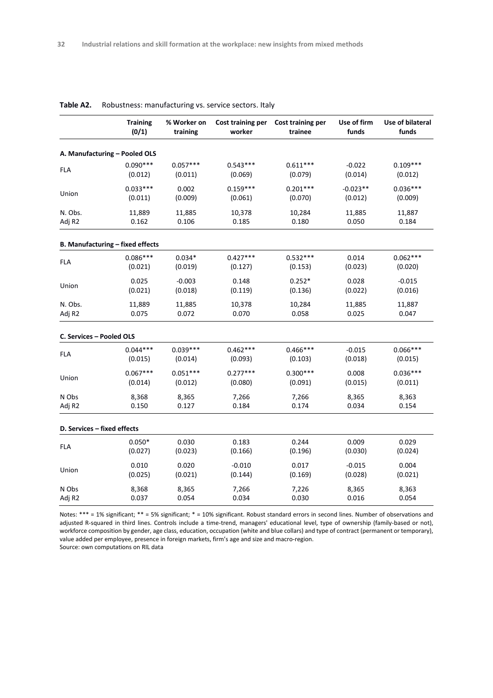|                             | <b>Training</b>                  | % Worker on | Cost training per | Cost training per | Use of firm | Use of bilateral |
|-----------------------------|----------------------------------|-------------|-------------------|-------------------|-------------|------------------|
|                             | (0/1)                            | training    | worker            | trainee           | funds       | funds            |
|                             | A. Manufacturing - Pooled OLS    |             |                   |                   |             |                  |
| <b>FLA</b>                  | $0.090***$                       | $0.057***$  | $0.543***$        | $0.611***$        | $-0.022$    | $0.109***$       |
|                             | (0.012)                          | (0.011)     | (0.069)           | (0.079)           | (0.014)     | (0.012)          |
| Union                       | $0.033***$                       | 0.002       | $0.159***$        | $0.201***$        | $-0.023**$  | $0.036***$       |
|                             | (0.011)                          | (0.009)     | (0.061)           | (0.070)           | (0.012)     | (0.009)          |
| N. Obs.                     | 11,889                           | 11,885      | 10,378            | 10,284            | 11,885      | 11,887           |
| Adj R2                      | 0.162                            | 0.106       | 0.185             | 0.180             | 0.050       | 0.184            |
|                             | B. Manufacturing - fixed effects |             |                   |                   |             |                  |
| FLA                         | $0.086***$                       | $0.034*$    | $0.427***$        | $0.532***$        | 0.014       | $0.062***$       |
|                             | (0.021)                          | (0.019)     | (0.127)           | (0.153)           | (0.023)     | (0.020)          |
| Union                       | 0.025                            | $-0.003$    | 0.148             | $0.252*$          | 0.028       | $-0.015$         |
|                             | (0.021)                          | (0.018)     | (0.119)           | (0.136)           | (0.022)     | (0.016)          |
| N. Obs.                     | 11,889                           | 11,885      | 10,378            | 10,284            | 11,885      | 11,887           |
| Adj R2                      | 0.075                            | 0.072       | 0.070             | 0.058             | 0.025       | 0.047            |
| C. Services - Pooled OLS    |                                  |             |                   |                   |             |                  |
| <b>FLA</b>                  | $0.044***$                       | $0.039***$  | $0.462***$        | $0.466***$        | $-0.015$    | $0.066***$       |
|                             | (0.015)                          | (0.014)     | (0.093)           | (0.103)           | (0.018)     | (0.015)          |
| Union                       | $0.067***$                       | $0.051***$  | $0.277***$        | $0.300***$        | 0.008       | $0.036***$       |
|                             | (0.014)                          | (0.012)     | (0.080)           | (0.091)           | (0.015)     | (0.011)          |
| N Obs                       | 8,368                            | 8,365       | 7,266             | 7,266             | 8,365       | 8,363            |
| Adj R2                      | 0.150                            | 0.127       | 0.184             | 0.174             | 0.034       | 0.154            |
| D. Services - fixed effects |                                  |             |                   |                   |             |                  |
| FLA                         | $0.050*$                         | 0.030       | 0.183             | 0.244             | 0.009       | 0.029            |
|                             | (0.027)                          | (0.023)     | (0.166)           | (0.196)           | (0.030)     | (0.024)          |
| Union                       | 0.010                            | 0.020       | $-0.010$          | 0.017             | $-0.015$    | 0.004            |
|                             | (0.025)                          | (0.021)     | (0.144)           | (0.169)           | (0.028)     | (0.021)          |
| N Obs                       | 8,368                            | 8,365       | 7,266             | 7,226             | 8,365       | 8,363            |
| Adj R2                      | 0.037                            | 0.054       | 0.034             | 0.030             | 0.016       | 0.054            |

#### **Table A2.** Robustness: manufacturing vs. service sectors. Italy

Notes: \*\*\* = 1% significant; \*\* = 5% significant; \* = 10% significant. Robust standard errors in second lines. Number of observations and adjusted R-squared in third lines. Controls include a time-trend, managers' educational level, type of ownership (family-based or not), workforce composition by gender, age class, education, occupation (white and blue collars) and type of contract (permanent or temporary), value added per employee, presence in foreign markets, firm's age and size and macro-region.

Source: own computations on RIL data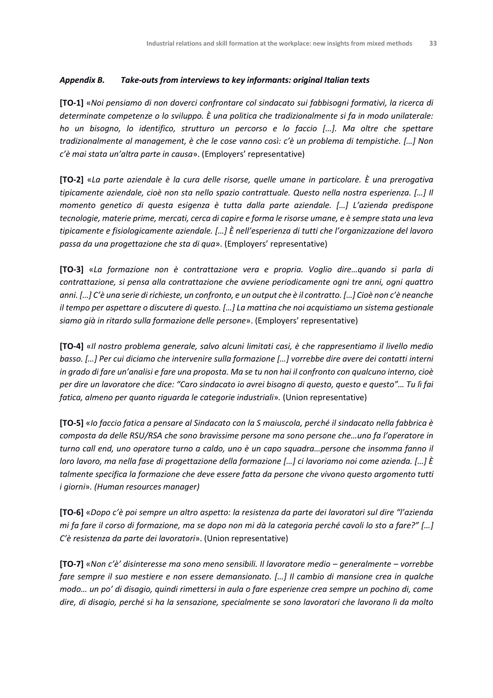#### *Appendix B. Take-outs from interviews to key informants: original Italian texts*

**[TO-1]** «*Noi pensiamo di non doverci confrontare col sindacato sui fabbisogni formativi, la ricerca di determinate competenze o lo sviluppo. È una politica che tradizionalmente si fa in modo unilaterale: ho un bisogno, lo identifico, strutturo un percorso e lo faccio […]. Ma oltre che spettare tradizionalmente al management, è che le cose vanno così: c'è un problema di tempistiche. […] Non c'è mai stata un'altra parte in causa*». (Employers' representative)

**[TO-2]** «*La parte aziendale è la cura delle risorse, quelle umane in particolare. È una prerogativa tipicamente aziendale, cioè non sta nello spazio contrattuale. Questo nella nostra esperienza. […] Il momento genetico di questa esigenza è tutta dalla parte aziendale. […] L'azienda predispone tecnologie, materie prime, mercati, cerca di capire e forma le risorse umane, e è sempre stata una leva tipicamente e fisiologicamente aziendale. […] È nell'esperienza di tutti che l'organizzazione del lavoro passa da una progettazione che sta di qua*». (Employers' representative)

**[TO-3]** «*La formazione non è contrattazione vera e propria. Voglio dire…quando si parla di contrattazione, si pensa alla contrattazione che avviene periodicamente ogni tre anni, ogni quattro anni. […] C'è una serie di richieste, un confronto, e un output che è il contratto. […] Cioè non c'è neanche il tempo per aspettare o discutere di questo. […] La mattina che noi acquistiamo un sistema gestionale siamo già in ritardo sulla formazione delle persone*». (Employers' representative)

**[TO-4]** «*Il nostro problema generale, salvo alcuni limitati casi, è che rappresentiamo il livello medio basso. […] Per cui diciamo che intervenire sulla formazione […] vorrebbe dire avere dei contatti interni in grado di fare un'analisi e fare una proposta. Ma se tu non hai il confronto con qualcuno interno, cioè per dire un lavoratore che dice: "Caro sindacato io avrei bisogno di questo, questo e questo"… Tu lì fai fatica, almeno per quanto riguarda le categorie industriali*»*.* (Union representative)

**[TO-5]** «*Io faccio fatica a pensare al Sindacato con la S maiuscola, perché il sindacato nella fabbrica è composta da delle RSU/RSA che sono bravissime persone ma sono persone che…uno fa l'operatore in turno call end, uno operatore turno a caldo, uno è un capo squadra…persone che insomma fanno il loro lavoro, ma nella fase di progettazione della formazione […] ci lavoriamo noi come azienda. […] È talmente specifica la formazione che deve essere fatta da persone che vivono questo argomento tutti i giorni*»*. (Human resources manager)*

**[TO-6]** «*Dopo c'è poi sempre un altro aspetto: la resistenza da parte dei lavoratori sul dire "l'azienda mi fa fare il corso di formazione, ma se dopo non mi dà la categoria perché cavoli lo sto a fare?" […] C'è resistenza da parte dei lavoratori*». (Union representative)

**[TO-7]** «*Non c'è' disinteresse ma sono meno sensibili. Il lavoratore medio – generalmente – vorrebbe fare sempre il suo mestiere e non essere demansionato. [...] Il cambio di mansione crea in qualche modo… un po' di disagio, quindi rimettersi in aula o fare esperienze crea sempre un pochino di, come dire, di disagio, perché si ha la sensazione, specialmente se sono lavoratori che lavorano lì da molto*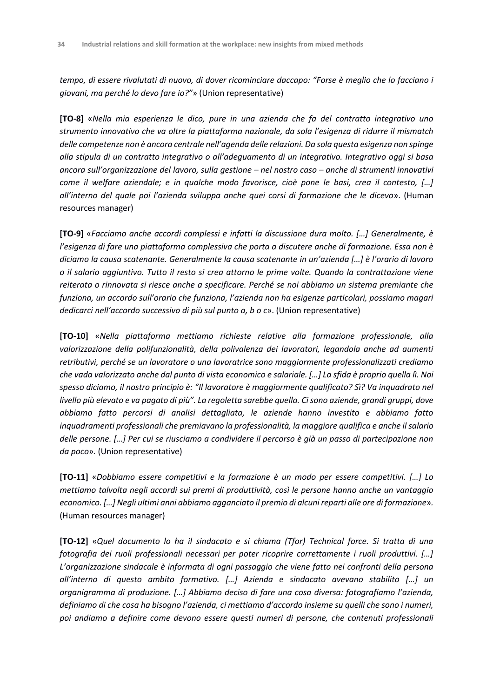*tempo, di essere rivalutati di nuovo, di dover ricominciare daccapo: "Forse è meglio che lo facciano i giovani, ma perché lo devo fare io?"*» (Union representative)

**[TO-8]** «*Nella mia esperienza le dico, pure in una azienda che fa del contratto integrativo uno strumento innovativo che va oltre la piattaforma nazionale, da sola l'esigenza di ridurre il mismatch delle competenze non è ancora centrale nell'agenda delle relazioni. Da sola questa esigenza non spinge alla stipula di un contratto integrativo o all'adeguamento di un integrativo. Integrativo oggi si basa ancora sull'organizzazione del lavoro, sulla gestione – nel nostro caso – anche di strumenti innovativi come il welfare aziendale; e in qualche modo favorisce, cioè pone le basi, crea il contesto, […] all'interno del quale poi l'azienda sviluppa anche quei corsi di formazione che le dicevo*». (Human resources manager)

**[TO-9]** «*Facciamo anche accordi complessi e infatti la discussione dura molto. […] Generalmente, è l'esigenza di fare una piattaforma complessiva che porta a discutere anche di formazione. Essa non è diciamo la causa scatenante. Generalmente la causa scatenante in un'azienda […] è l'orario di lavoro o il salario aggiuntivo. Tutto il resto si crea attorno le prime volte. Quando la contrattazione viene reiterata o rinnovata si riesce anche a specificare. Perché se noi abbiamo un sistema premiante che funziona, un accordo sull'orario che funziona, l'azienda non ha esigenze particolari, possiamo magari dedicarci nell'accordo successivo di più sul punto a, b o c*». (Union representative)

**[TO-10]** «*Nella piattaforma mettiamo richieste relative alla formazione professionale, alla valorizzazione della polifunzionalità, della polivalenza dei lavoratori, legandola anche ad aumenti retributivi, perché se un lavoratore o una lavoratrice sono maggiormente professionalizzati crediamo che vada valorizzato anche dal punto di vista economico e salariale. […] La sfida è proprio quella lì. Noi spesso diciamo, il nostro principio è: "Il lavoratore è maggiormente qualificato? Sì? Va inquadrato nel livello più elevato e va pagato di più". La regoletta sarebbe quella. Ci sono aziende, grandi gruppi, dove abbiamo fatto percorsi di analisi dettagliata, le aziende hanno investito e abbiamo fatto inquadramenti professionali che premiavano la professionalità, la maggiore qualifica e anche il salario delle persone. […] Per cui se riusciamo a condividere il percorso è già un passo di partecipazione non da poco*»*.* (Union representative)

**[TO-11]** «*Dobbiamo essere competitivi e la formazione è un modo per essere competitivi. […] Lo mettiamo talvolta negli accordi sui premi di produttività, così le persone hanno anche un vantaggio economico. […] Negli ultimi anni abbiamo agganciato il premio di alcuni reparti alle ore di formazione*»*.*  (Human resources manager)

**[TO-12]** «*Quel documento lo ha il sindacato e si chiama (Tfor) Technical force. Si tratta di una fotografia dei ruoli professionali necessari per poter ricoprire correttamente i ruoli produttivi. […] L'organizzazione sindacale è informata di ogni passaggio che viene fatto nei confronti della persona all'interno di questo ambito formativo. […] Azienda e sindacato avevano stabilito […] un organigramma di produzione. […] Abbiamo deciso di fare una cosa diversa: fotografiamo l'azienda, definiamo di che cosa ha bisogno l'azienda, ci mettiamo d'accordo insieme su quelli che sono i numeri, poi andiamo a definire come devono essere questi numeri di persone, che contenuti professionali*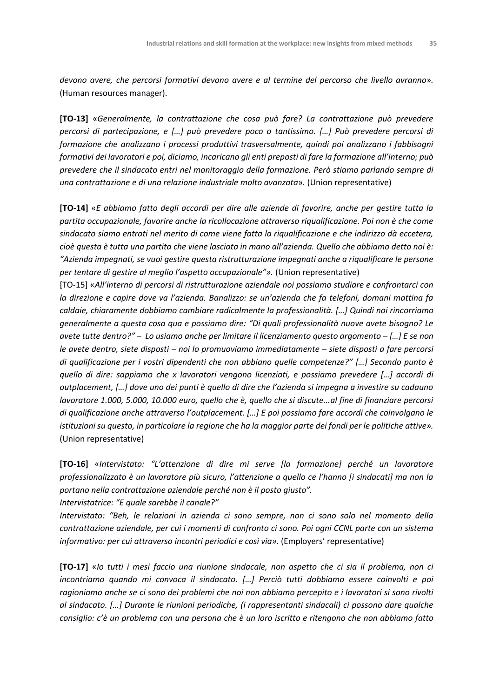*devono avere, che percorsi formativi devono avere e al termine del percorso che livello avranno*»*.*  (Human resources manager).

**[TO-13]** «*Generalmente, la contrattazione che cosa può fare? La contrattazione può prevedere percorsi di partecipazione, e […] può prevedere poco o tantissimo. […] Può prevedere percorsi di formazione che analizzano i processi produttivi trasversalmente, quindi poi analizzano i fabbisogni formativi dei lavoratori e poi, diciamo, incaricano gli enti preposti di fare la formazione all'interno; può prevedere che il sindacato entri nel monitoraggio della formazione. Però stiamo parlando sempre di una contrattazione e di una relazione industriale molto avanzata*»*.* (Union representative)

**[TO-14]** «*E abbiamo fatto degli accordi per dire alle aziende di favorire, anche per gestire tutta la partita occupazionale, favorire anche la ricollocazione attraverso riqualificazione. Poi non è che come sindacato siamo entrati nel merito di come viene fatta la riqualificazione e che indirizzo dà eccetera, cioè questa è tutta una partita che viene lasciata in mano all'azienda. Quello che abbiamo detto noi è: "Azienda impegnati, se vuoi gestire questa ristrutturazione impegnati anche a riqualificare le persone per tentare di gestire al meglio l'aspetto occupazionale"».* (Union representative)

[TO-15] «*All'interno di percorsi di ristrutturazione aziendale noi possiamo studiare e confrontarci con la direzione e capire dove va l'azienda. Banalizzo: se un'azienda che fa telefoni, domani mattina fa caldaie, chiaramente dobbiamo cambiare radicalmente la professionalità. […] Quindi noi rincorriamo generalmente a questa cosa qua e possiamo dire: "Di quali professionalità nuove avete bisogno? Le avete tutte dentro?" – Lo usiamo anche per limitare il licenziamento questo argomento – […] E se non le avete dentro, siete disposti – noi lo promuoviamo immediatamente – siete disposti a fare percorsi di qualificazione per i vostri dipendenti che non abbiano quelle competenze?" […] Secondo punto è quello di dire: sappiamo che x lavoratori vengono licenziati, e possiamo prevedere […] accordi di outplacement, […] dove uno dei punti è quello di dire che l'azienda si impegna a investire su cadauno lavoratore 1.000, 5.000, 10.000 euro, quello che è, quello che si discute...al fine di finanziare percorsi di qualificazione anche attraverso l'outplacement. […] E poi possiamo fare accordi che coinvolgano le istituzioni su questo, in particolare la regione che ha la maggior parte dei fondi per le politiche attive».*  (Union representative)

**[TO-16]** «*Intervistato: "L'attenzione di dire mi serve [la formazione] perché un lavoratore professionalizzato è un lavoratore più sicuro, l'attenzione a quello ce l'hanno [i sindacati] ma non la portano nella contrattazione aziendale perché non è il posto giusto".*

*Intervistatrice: "E quale sarebbe il canale?"*

*Intervistato: "Beh, le relazioni in azienda ci sono sempre, non ci sono solo nel momento della contrattazione aziendale, per cui i momenti di confronto ci sono. Poi ogni CCNL parte con un sistema informativo: per cui attraverso incontri periodici e così via».* (Employers' representative)

**[TO-17]** «*Io tutti i mesi faccio una riunione sindacale, non aspetto che ci sia il problema, non ci incontriamo quando mi convoca il sindacato. […] Perciò tutti dobbiamo essere coinvolti e poi ragioniamo anche se ci sono dei problemi che noi non abbiamo percepito e i lavoratori si sono rivolti al sindacato. […] Durante le riunioni periodiche, (i rappresentanti sindacali) ci possono dare qualche consiglio: c'è un problema con una persona che è un loro iscritto e ritengono che non abbiamo fatto*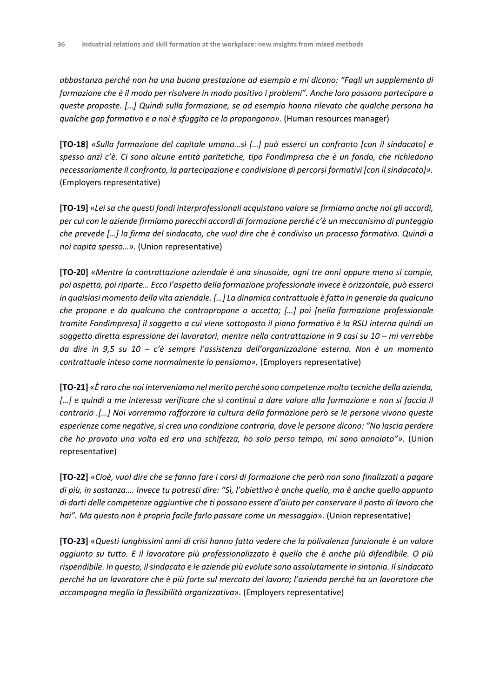*abbastanza perché non ha una buona prestazione ad esempio e mi dicono: "Fagli un supplemento di formazione che è il modo per risolvere in modo positivo i problemi". Anche loro possono partecipare a queste proposte. […] Quindi sulla formazione, se ad esempio hanno rilevato che qualche persona ha qualche gap formativo e a noi è sfuggito ce lo propongono».* (Human resources manager)

**[TO-18]** «*Sulla formazione del capitale umano…sì […] può esserci un confronto [con il sindacato] e spesso anzi c'è. Ci sono alcune entità paritetiche, tipo Fondimpresa che è un fondo, che richiedono necessariamente il confronto, la partecipazione e condivisione di percorsi formativi [con il sindacato]».*  (Employers representative)

**[TO-19]** «*Lei sa che questi fondi interprofessionali acquistano valore se firmiamo anche noi gli accordi, per cui con le aziende firmiamo parecchi accordi di formazione perché c'è un meccanismo di punteggio che prevede […] la firma del sindacato, che vuol dire che è condiviso un processo formativo. Quindi a noi capita spesso…».* (Union representative)

**[TO-20]** «*Mentre la contrattazione aziendale è una sinusoide, ogni tre anni oppure meno si compie, poi aspetta, poi riparte… Ecco l'aspetto della formazione professionale invece è orizzontale, può esserci in qualsiasi momento della vita aziendale. […] La dinamica contrattuale è fatta in generale da qualcuno che propone e da qualcuno che contropropone o accetta; […] poi [nella formazione professionale tramite Fondimpresa] il soggetto a cui viene sottoposto il piano formativo è la RSU interna quindi un soggetto diretta espressione dei lavoratori, mentre nella contrattazione in 9 casi su 10 – mi verrebbe da dire in 9,5 su 10 – c'è sempre l'assistenza dell'organizzazione esterna. Non è un momento contrattuale inteso come normalmente lo pensiamo».* (Employers representative)

**[TO-21]** «*È raro che noi interveniamo nel merito perché sono competenze molto tecniche della azienda, […] e quindi a me interessa verificare che si continui a dare valore alla formazione e non si faccia il contrario .[…] Noi vorremmo rafforzare la cultura della formazione però se le persone vivono queste esperienze come negative, si crea una condizione contraria, dove le persone dicono: "No lascia perdere che ho provato una volta ed era una schifezza, ho solo perso tempo, mi sono annoiato"».* (Union representative)

**[TO-22]** «*Cioè, vuol dire che se fanno fare i corsi di formazione che però non sono finalizzati a pagare di più, in sostanza…. Invece tu potresti dire: "Sì, l'obiettivo è anche quello, ma è anche quello appunto di darti delle competenze aggiuntive che ti possono essere d'aiuto per conservare il posto di lavoro che hai". Ma questo non è proprio facile farlo passare come un messaggio*». (Union representative)

**[TO-23]** «*Questi lunghissimi anni di crisi hanno fatto vedere che la polivalenza funzionale è un valore aggiunto su tutto. E il lavoratore più professionalizzato è quello che è anche più difendibile. O più rispendibile. In questo, il sindacato e le aziende più evolute sono assolutamente in sintonia. Il sindacato perché ha un lavoratore che è più forte sul mercato del lavoro; l'azienda perché ha un lavoratore che accompagna meglio la flessibilità organizzativa*»*.* (Employers representative)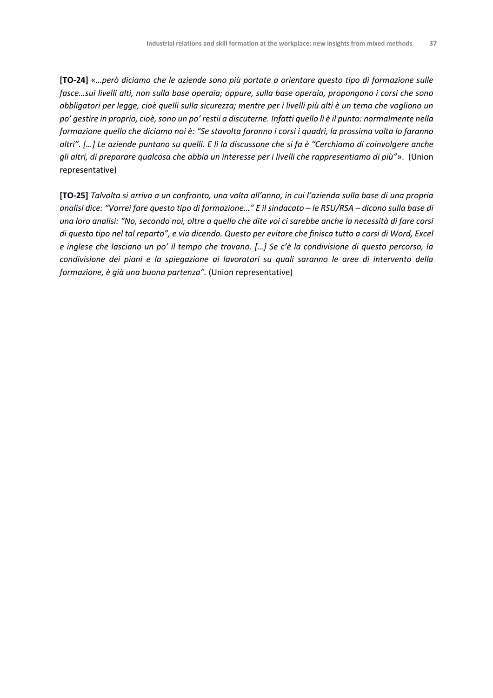**[TO-24]** «*…però diciamo che le aziende sono più portate a orientare questo tipo di formazione sulle fasce…sui livelli alti, non sulla base operaia; oppure, sulla base operaia, propongono i corsi che sono obbligatori per legge, cioè quelli sulla sicurezza; mentre per i livelli più alti è un tema che vogliono un po' gestire in proprio, cioè, sono un po' restii a discuterne. Infatti quello lì è il punto: normalmente nella formazione quello che diciamo noi è: "Se stavolta faranno i corsi i quadri, la prossima volta lo faranno altri". […] Le aziende puntano su quelli. E lì la discussone che si fa è "Cerchiamo di coinvolgere anche gli altri, di preparare qualcosa che abbia un interesse per i livelli che rappresentiamo di più"*». (Union representative)

**[TO-25]** *Talvolta si arriva a un confronto, una volta all'anno, in cui l'azienda sulla base di una propria analisi dice: "Vorrei fare questo tipo di formazione…" E il sindacato – le RSU/RSA – dicono sulla base di una loro analisi: "No, secondo noi, oltre a quello che dite voi ci sarebbe anche la necessità di fare corsi di questo tipo nel tal reparto", e via dicendo. Questo per evitare che finisca tutto a corsi di Word, Excel e inglese che lasciano un po' il tempo che trovano. […] Se c'è la condivisione di questo percorso, la condivisione dei piani e la spiegazione ai lavoratori su quali saranno le aree di intervento della formazione, è già una buona partenza".* (Union representative)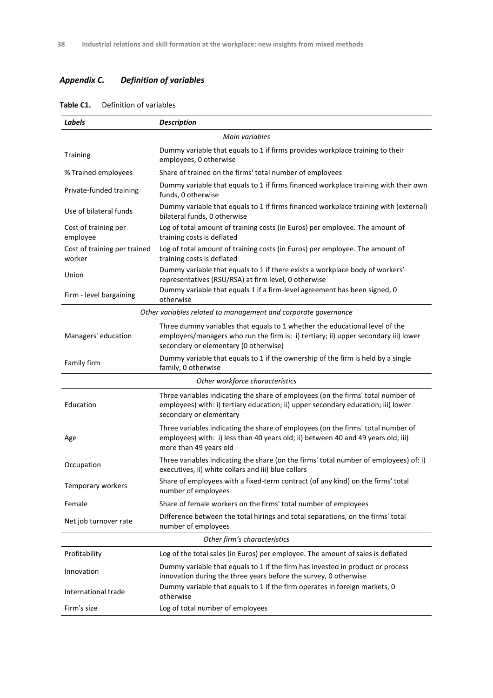# *Appendix C. Definition of variables*

| Labels                                 | <b>Description</b>                                                                                                                                                                                          |
|----------------------------------------|-------------------------------------------------------------------------------------------------------------------------------------------------------------------------------------------------------------|
|                                        | Main variables                                                                                                                                                                                              |
| <b>Training</b>                        | Dummy variable that equals to 1 if firms provides workplace training to their<br>employees, 0 otherwise                                                                                                     |
| % Trained employees                    | Share of trained on the firms' total number of employees                                                                                                                                                    |
| Private-funded training                | Dummy variable that equals to 1 if firms financed workplace training with their own<br>funds, 0 otherwise                                                                                                   |
| Use of bilateral funds                 | Dummy variable that equals to 1 if firms financed workplace training with (external)<br>bilateral funds, 0 otherwise                                                                                        |
| Cost of training per<br>employee       | Log of total amount of training costs (in Euros) per employee. The amount of<br>training costs is deflated                                                                                                  |
| Cost of training per trained<br>worker | Log of total amount of training costs (in Euros) per employee. The amount of<br>training costs is deflated                                                                                                  |
| Union                                  | Dummy variable that equals to 1 if there exists a workplace body of workers'<br>representatives (RSU/RSA) at firm level, 0 otherwise                                                                        |
| Firm - level bargaining                | Dummy variable that equals 1 if a firm-level agreement has been signed, 0<br>otherwise                                                                                                                      |
|                                        | Other variables related to management and corporate governance                                                                                                                                              |
| Managers' education                    | Three dummy variables that equals to 1 whether the educational level of the<br>employers/managers who run the firm is: i) tertiary; ii) upper secondary iii) lower<br>secondary or elementary (0 otherwise) |
| Family firm                            | Dummy variable that equals to 1 if the ownership of the firm is held by a single<br>family, 0 otherwise                                                                                                     |
|                                        | Other workforce characteristics                                                                                                                                                                             |
| Education                              | Three variables indicating the share of employees (on the firms' total number of<br>employees) with: i) tertiary education; ii) upper secondary education; iii) lower<br>secondary or elementary            |
| Age                                    | Three variables indicating the share of employees (on the firms' total number of<br>employees) with: i) less than 40 years old; ii) between 40 and 49 years old; iii)<br>more than 49 years old             |
| Occupation                             | Three variables indicating the share (on the firms' total number of employees) of: i)<br>executives, ii) white collars and iii) blue collars                                                                |
| Temporary workers                      | Share of employees with a fixed-term contract (of any kind) on the firms' total<br>number of employees                                                                                                      |
| Female                                 | Share of female workers on the firms' total number of employees                                                                                                                                             |
| Net job turnover rate                  | Difference between the total hirings and total separations, on the firms' total<br>number of employees                                                                                                      |
|                                        | Other firm's characteristics                                                                                                                                                                                |
| Profitability                          | Log of the total sales (in Euros) per employee. The amount of sales is deflated                                                                                                                             |
| Innovation                             | Dummy variable that equals to 1 if the firm has invested in product or process<br>innovation during the three years before the survey, 0 otherwise                                                          |
| International trade                    | Dummy variable that equals to 1 if the firm operates in foreign markets, 0<br>otherwise                                                                                                                     |
| Firm's size                            | Log of total number of employees                                                                                                                                                                            |

#### **Table C1.** Definition of variables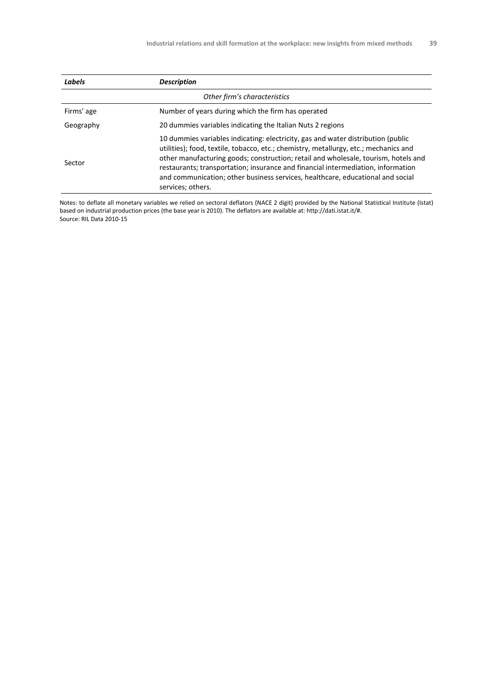| Labels     | <b>Description</b>                                                                                                                                                                                                                                                                                                                                                                                                                                        |
|------------|-----------------------------------------------------------------------------------------------------------------------------------------------------------------------------------------------------------------------------------------------------------------------------------------------------------------------------------------------------------------------------------------------------------------------------------------------------------|
|            | Other firm's characteristics                                                                                                                                                                                                                                                                                                                                                                                                                              |
| Firms' age | Number of years during which the firm has operated                                                                                                                                                                                                                                                                                                                                                                                                        |
| Geography  | 20 dummies variables indicating the Italian Nuts 2 regions                                                                                                                                                                                                                                                                                                                                                                                                |
| Sector     | 10 dummies variables indicating: electricity, gas and water distribution (public<br>utilities); food, textile, tobacco, etc.; chemistry, metallurgy, etc.; mechanics and<br>other manufacturing goods; construction; retail and wholesale, tourism, hotels and<br>restaurants; transportation; insurance and financial intermediation, information<br>and communication; other business services, healthcare, educational and social<br>services; others. |

Notes: to deflate all monetary variables we relied on sectoral deflators (NACE 2 digit) provided by the National Statistical Institute (Istat) based on industrial production prices (the base year is 2010). The deflators are available at: http://dati.istat.it/#. Source: RIL Data 2010-15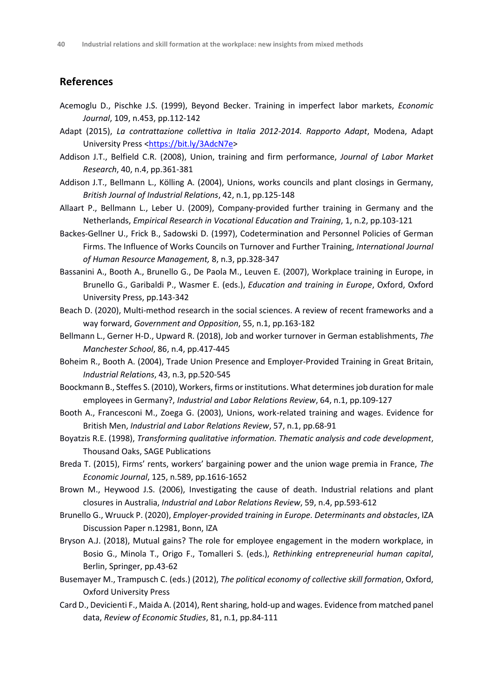# **References**

- Acemoglu D., Pischke J.S. (1999), Beyond Becker. Training in imperfect labor markets, *Economic Journal*, 109, n.453, pp.112-142
- Adapt (2015), *La contrattazione collettiva in Italia 2012-2014. Rapporto Adapt*, Modena, Adapt University Press [<https://bit.ly/3AdcN7e>](https://bit.ly/3AdcN7e)
- Addison J.T., Belfield C.R. (2008), Union, training and firm performance, *Journal of Labor Market Research*, 40, n.4, pp.361-381
- Addison J.T., Bellmann L., Kölling A. (2004), Unions, works councils and plant closings in Germany, *British Journal of Industrial Relations*, 42, n.1, pp.125-148
- Allaart P., Bellmann L., Leber U. (2009), Company-provided further training in Germany and the Netherlands, *Empirical Research in Vocational Education and Training*, 1, n.2, pp.103-121
- Backes-Gellner U., Frick B., Sadowski D. (1997), Codetermination and Personnel Policies of German Firms. The Influence of Works Councils on Turnover and Further Training, *International Journal of Human Resource Management,* 8, n.3, pp.328-347
- Bassanini A., Booth A., Brunello G., De Paola M., Leuven E. (2007), Workplace training in Europe, in Brunello G., Garibaldi P., Wasmer E. (eds.), *Education and training in Europe*, Oxford, Oxford University Press, pp.143-342
- Beach D. (2020), Multi-method research in the social sciences. A review of recent frameworks and a way forward, *Government and Opposition*, 55, n.1, pp.163-182
- Bellmann L., Gerner H-D., Upward R. (2018), Job and worker turnover in German establishments, *The Manchester School*, 86, n.4, pp.417-445
- Boheim R., Booth A. (2004), Trade Union Presence and Employer-Provided Training in Great Britain, *Industrial Relations*, 43, n.3, pp.520-545
- Boockmann B., Steffes S. (2010), Workers, firms or institutions. What determines job duration for male employees in Germany?, *Industrial and Labor Relations Review*, 64, n.1, pp.109-127
- Booth A., Francesconi M., Zoega G. (2003), Unions, work-related training and wages. Evidence for British Men, *Industrial and Labor Relations Review*, 57, n.1, pp.68-91
- Boyatzis R.E. (1998), *Transforming qualitative information. Thematic analysis and code development*, Thousand Oaks, SAGE Publications
- Breda T. (2015), Firms' rents, workers' bargaining power and the union wage premia in France, *The Economic Journal*, 125, n.589, pp.1616-1652
- Brown M., Heywood J.S. (2006), Investigating the cause of death. Industrial relations and plant closures in Australia, *Industrial and Labor Relations Review*, 59, n.4, pp.593-612
- Brunello G., Wruuck P. (2020), *Employer-provided training in Europe. Determinants and obstacles*, IZA Discussion Paper n.12981, Bonn, IZA
- Bryson A.J. (2018), Mutual gains? The role for employee engagement in the modern workplace, in Bosio G., Minola T., Origo F., Tomalleri S. (eds.), *Rethinking entrepreneurial human capital*, Berlin, Springer, pp.43-62
- Busemayer M., Trampusch C. (eds.) (2012), *The political economy of collective skill formation*, Oxford, Oxford University Press
- Card D., Devicienti F., Maida A. (2014), Rent sharing, hold-up and wages. Evidence from matched panel data, *Review of Economic Studies*, 81, n.1, pp.84-111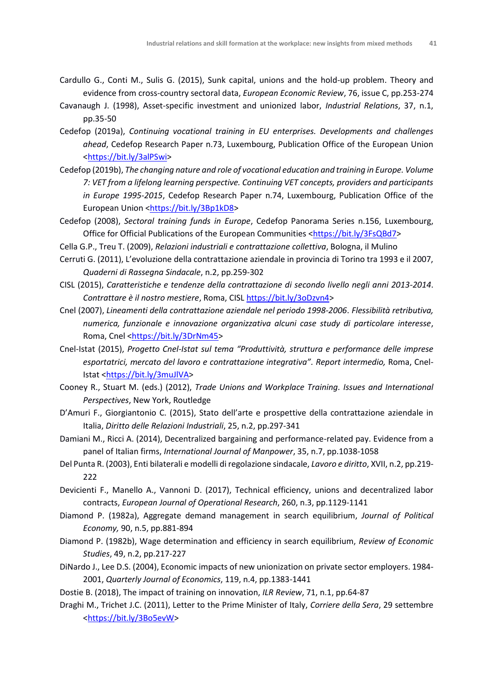- Cardullo G., Conti M., Sulis G. (2015), Sunk capital, unions and the hold-up problem. Theory and evidence from cross-country sectoral data, *European Economic Review*, 76, issue C, pp.253-274
- Cavanaugh J. (1998), Asset-specific investment and unionized labor, *Industrial Relations*, 37, n.1, pp.35-50
- Cedefop (2019a), *Continuing vocational training in EU enterprises. Developments and challenges ahead*, Cedefop Research Paper n.73, Luxembourg, Publication Office of the European Union [<https://bit.ly/3alPSwi>](https://bit.ly/3alPSwi)
- Cedefop (2019b), *The changing nature and role of vocational education and training in Europe. Volume 7: VET from a lifelong learning perspective. Continuing VET concepts, providers and participants in Europe 1995-2015*, Cedefop Research Paper n.74, Luxembourg, Publication Office of the European Union [<https://bit.ly/3Bp1kD8>](https://bit.ly/3Bp1kD8)
- Cedefop (2008), *Sectoral training funds in Europe*, Cedefop Panorama Series n.156, Luxembourg, Office for Official Publications of the European Communities [<https://bit.ly/3FsQBd7>](https://bit.ly/3FsQBd7)
- Cella G.P., Treu T. (2009), *Relazioni industriali e contrattazione collettiva*, Bologna, il Mulino
- Cerruti G. (2011), L'evoluzione della contrattazione aziendale in provincia di Torino tra 1993 e il 2007, *Quaderni di Rassegna Sindacale*, n.2, pp.259-302
- CISL (2015), *Caratteristiche e tendenze della contrattazione di secondo livello negli anni 2013-2014*. *Contrattare è il nostro mestiere*, Roma, CISL [https://bit.ly/3oDzvn4>](https://bit.ly/3oDzvn4)
- Cnel (2007), *Lineamenti della contrattazione aziendale nel periodo 1998-2006*. *Flessibilità retributiva, numerica, funzionale e innovazione organizzativa alcuni case study di particolare interesse*, Roma, Cnel [<https://bit.ly/3DrNm45>](https://bit.ly/3DrNm45)
- Cnel-Istat (2015), *Progetto Cnel-Istat sul tema "Produttività, struttura e performance delle imprese esportatrici, mercato del lavoro e contrattazione integrativa". Report intermedio,* Roma, Cnel-Istat [<https://bit.ly/3muJlVA>](https://bit.ly/3muJlVA)
- Cooney R., Stuart M. (eds.) (2012), *Trade Unions and Workplace Training. Issues and International Perspectives*, New York, Routledge
- D'Amuri F., Giorgiantonio C. (2015), Stato dell'arte e prospettive della contrattazione aziendale in Italia, *Diritto delle Relazioni Industriali*, 25, n.2, pp.297-341
- Damiani M., Ricci A. (2014), Decentralized bargaining and performance-related pay. Evidence from a panel of Italian firms, *International Journal of Manpower*, 35, n.7, pp.1038-1058
- Del Punta R. (2003), Enti bilaterali e modelli di regolazione sindacale, *Lavoro e diritto*, XVII, n.2, pp.219- 222
- Devicienti F., Manello A., Vannoni D. (2017), Technical efficiency, unions and decentralized labor contracts, *European Journal of Operational Research*, 260, n.3, pp.1129-1141
- Diamond P. (1982a), Aggregate demand management in search equilibrium, *Journal of Political Economy,* 90, n.5, pp.881-894
- Diamond P. (1982b), Wage determination and efficiency in search equilibrium, *Review of Economic Studies*, 49, n.2, pp.217-227
- DiNardo J., Lee D.S. (2004), Economic impacts of new unionization on private sector employers. 1984- 2001, *Quarterly Journal of Economics*, 119, n.4, pp.1383-1441

Dostie B. (2018), The impact of training on innovation, *ILR Review*, 71, n.1, pp.64-87

Draghi M., Trichet J.C. (2011), Letter to the Prime Minister of Italy, *Corriere della Sera*, 29 settembre [<https://bit.ly/3Bo5evW>](https://bit.ly/3Bo5evW)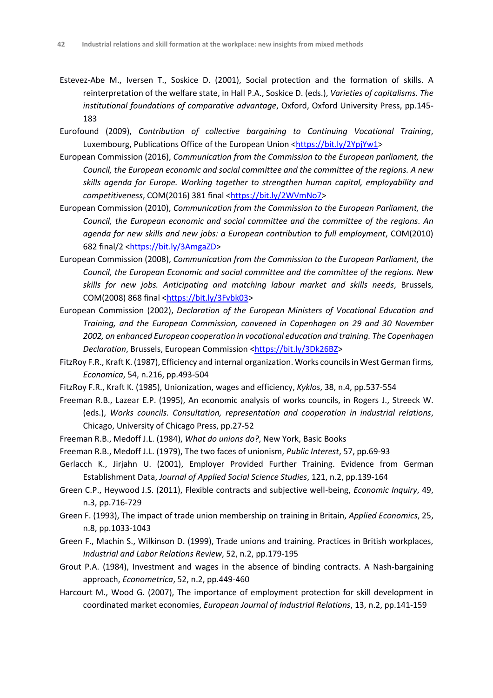- Estevez-Abe M., Iversen T., Soskice D. (2001), Social protection and the formation of skills. A reinterpretation of the welfare state, in Hall P.A., Soskice D. (eds.), *Varieties of capitalisms. The institutional foundations of comparative advantage*, Oxford, Oxford University Press, pp.145- 183
- Eurofound (2009), *Contribution of collective bargaining to Continuing Vocational Training*, Luxembourg, Publications Office of the European Union [<https://bit.ly/2YpjYw1>](https://bit.ly/2YpjYw1)
- European Commission (2016), *Communication from the Commission to the European parliament, the Council, the European economic and social committee and the committee of the regions. A new skills agenda for Europe. Working together to strengthen human capital, employability and competitiveness*, COM(2016) 381 final [<https://bit.ly/2WVmNo7>](https://bit.ly/2WVmNo7)
- European Commission (2010), *Communication from the Commission to the European Parliament, the Council, the European economic and social committee and the committee of the regions. An agenda for new skills and new jobs: a European contribution to full employment*, COM(2010) 682 final/2 [<https://bit.ly/3AmgaZD>](https://bit.ly/3AmgaZD)
- European Commission (2008), *Communication from the Commission to the European Parliament, the Council, the European Economic and social committee and the committee of the regions. New skills for new jobs. Anticipating and matching labour market and skills needs*, Brussels, COM(2008) 868 final [<https://bit.ly/3Fvbk03>](https://bit.ly/3Fvbk03)
- European Commission (2002), *Declaration of the European Ministers of Vocational Education and Training, and the European Commission, convened in Copenhagen on 29 and 30 November 2002, on enhanced European cooperation in vocational education and training. The Copenhagen Declaration*, Brussels, European Commission [<https://bit.ly/3Dk26BZ>](https://bit.ly/3Dk26BZ)
- FitzRoy F.R., Kraft K. (1987), Efficiency and internal organization. Works councils in West German firms, *Economica*, 54, n.216, pp.493-504
- FitzRoy F.R., Kraft K. (1985), Unionization, wages and efficiency, *Kyklos*, 38, n.4, pp.537-554
- Freeman R.B., Lazear E.P. (1995), An economic analysis of works councils, in Rogers J., Streeck W. (eds.), *Works councils. Consultation, representation and cooperation in industrial relations*, Chicago, University of Chicago Press, pp.27-52
- Freeman R.B., Medoff J.L. (1984), *What do unions do?*, New York, Basic Books
- Freeman R.B., Medoff J.L. (1979), The two faces of unionism, *Public Interest*, 57, pp.69-93
- Gerlacch K., Jirjahn U. (2001), Employer Provided Further Training. Evidence from German Establishment Data, *Journal of Applied Social Science Studies*, 121, n.2, pp.139-164
- Green C.P., Heywood J.S. (2011), Flexible contracts and subjective well-being, *Economic Inquiry*, 49, n.3, pp.716-729
- Green F. (1993), The impact of trade union membership on training in Britain, *Applied Economics*, 25, n.8, pp.1033-1043
- Green F., Machin S., Wilkinson D. (1999), Trade unions and training. Practices in British workplaces, *Industrial and Labor Relations Review*, 52, n.2, pp.179-195
- Grout P.A. (1984), Investment and wages in the absence of binding contracts. A Nash-bargaining approach, *Econometrica*, 52, n.2, pp.449-460
- Harcourt M., Wood G. (2007), The importance of employment protection for skill development in coordinated market economies, *European Journal of Industrial Relations*, 13, n.2, pp.141-159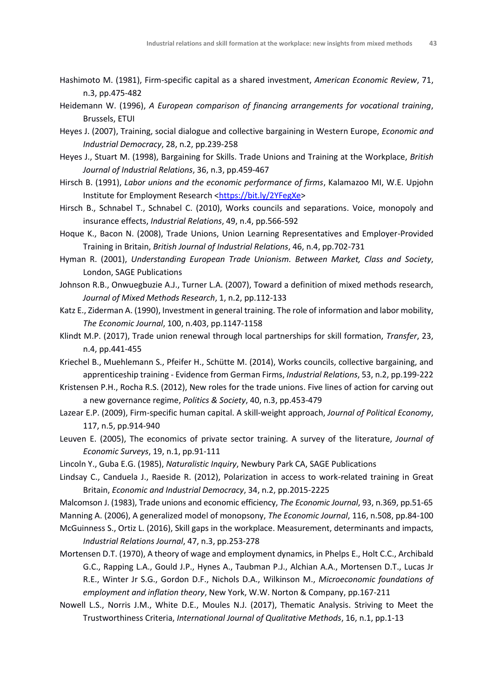- Hashimoto M. (1981), Firm-specific capital as a shared investment, *American Economic Review*, 71, n.3, pp.475-482
- Heidemann W. (1996), *A European comparison of financing arrangements for vocational training*, Brussels, ETUI
- Heyes J. (2007), Training, social dialogue and collective bargaining in Western Europe, *Economic and Industrial Democracy*, 28, n.2, pp.239-258
- Heyes J., Stuart M. (1998), Bargaining for Skills. Trade Unions and Training at the Workplace, *British Journal of Industrial Relations*, 36, n.3, pp.459-467
- Hirsch B. (1991), *Labor unions and the economic performance of firms*, Kalamazoo MI, W.E. Upjohn Institute for Employment Research [<https://bit.ly/2YFegXe>](https://bit.ly/2YFegXe)
- Hirsch B., Schnabel T., Schnabel C. (2010), Works councils and separations. Voice, monopoly and insurance effects, *Industrial Relations*, 49, n.4, pp.566-592
- Hoque K., Bacon N. (2008), Trade Unions, Union Learning Representatives and Employer-Provided Training in Britain, *British Journal of Industrial Relations*, 46, n.4, pp.702-731
- Hyman R. (2001), *Understanding European Trade Unionism. Between Market, Class and Society*, London, SAGE Publications
- Johnson R.B., Onwuegbuzie A.J., Turner L.A. (2007), Toward a definition of mixed methods research, *Journal of Mixed Methods Research*, 1, n.2, pp.112-133
- Katz E., Ziderman A. (1990), Investment in general training. The role of information and labor mobility, *The Economic Journal*, 100, n.403, pp.1147-1158
- Klindt M.P. (2017), Trade union renewal through local partnerships for skill formation, *Transfer*, 23, n.4, pp.441-455
- Kriechel B., Muehlemann S., Pfeifer H., Schütte M. (2014), Works councils, collective bargaining, and apprenticeship training - Evidence from German Firms, *Industrial Relations*, 53, n.2, pp.199-222
- Kristensen P.H., Rocha R.S. (2012), New roles for the trade unions. Five lines of action for carving out a new governance regime, *Politics & Society*, 40, n.3, pp.453-479
- Lazear E.P. (2009), Firm-specific human capital. A skill-weight approach, *Journal of Political Economy*, 117, n.5, pp.914-940
- Leuven E. (2005), The economics of private sector training. A survey of the literature, *Journal of Economic Surveys*, 19, n.1, pp.91-111
- Lincoln Y., Guba E.G. (1985), *Naturalistic Inquiry*, Newbury Park CA, SAGE Publications
- Lindsay C., Canduela J., Raeside R. (2012), Polarization in access to work-related training in Great Britain, *Economic and Industrial Democracy*, 34, n.2, pp.2015-2225
- Malcomson J. (1983), Trade unions and economic efficiency, *The Economic Journal*, 93, n.369, pp.51-65
- Manning A. (2006), A generalized model of monopsony, *The Economic Journal*, 116, n.508, pp.84-100
- McGuinness S., Ortiz L. (2016), Skill gaps in the workplace. Measurement, determinants and impacts, *Industrial Relations Journal*, 47, n.3, pp.253-278
- Mortensen D.T. (1970), A theory of wage and employment dynamics, in Phelps E., Holt C.C., Archibald G.C., Rapping L.A., Gould J.P., Hynes A., Taubman P.J., Alchian A.A., Mortensen D.T., Lucas Jr R.E., Winter Jr S.G., Gordon D.F., Nichols D.A., Wilkinson M., *Microeconomic foundations of employment and inflation theory*, New York, W.W. Norton & Company, pp.167-211
- Nowell L.S., Norris J.M., White D.E., Moules N.J. (2017), Thematic Analysis. Striving to Meet the Trustworthiness Criteria, *International Journal of Qualitative Methods*, 16, n.1, pp.1-13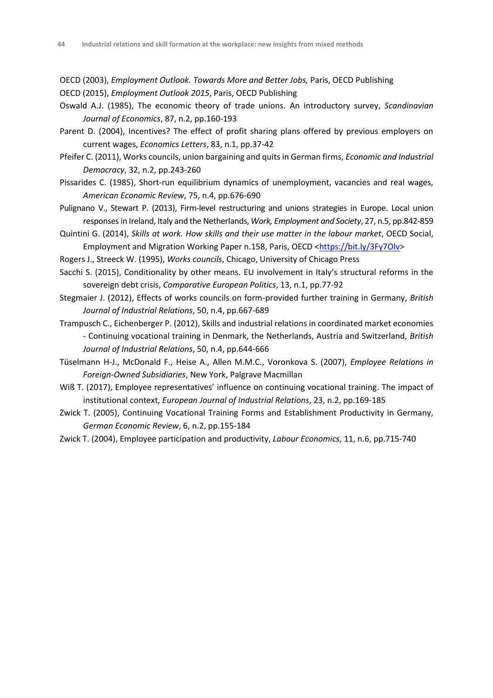OECD (2003), *Employment Outlook. Towards More and Better Jobs,* Paris, OECD Publishing OECD (2015), *Employment Outlook 2015*, Paris, OECD Publishing

- Oswald A.J. (1985), The economic theory of trade unions. An introductory survey, *Scandinavian Journal of Economics*, 87, n.2, pp.160-193
- Parent D. (2004), Incentives? The effect of profit sharing plans offered by previous employers on current wages, *Economics Letters*, 83, n.1, pp.37-42
- Pfeifer C. (2011), Works councils, union bargaining and quits in German firms, *Economic and Industrial Democracy*, 32, n.2, pp.243-260
- Pissarides C. (1985), Short-run equilibrium dynamics of unemployment, vacancies and real wages, *American Economic Review*, 75, n.4, pp.676-690
- Pulignano V., Stewart P. (2013), Firm-level restructuring and unions strategies in Europe. Local union responses in Ireland, Italy and the Netherlands, *Work, Employment and Society*, 27, n.5, pp.842-859
- Quintini G. (2014), *Skills at work. How skills and their use matter in the labour market*, OECD Social, Employment and Migration Working Paper n.158, Paris, OECD [<https://bit.ly/3Fy7Olv>](https://bit.ly/3Fy7Olv)
- Rogers J., Streeck W. (1995), *Works councils*, Chicago, University of Chicago Press
- Sacchi S. (2015), Conditionality by other means. EU involvement in Italy's structural reforms in the sovereign debt crisis, *Comparative European Politics*, 13, n.1, pp.77-92
- Stegmaier J. (2012), Effects of works councils on form-provided further training in Germany, *British Journal of Industrial Relations*, 50, n.4, pp.667-689
- Trampusch C., Eichenberger P. (2012), Skills and industrial relations in coordinated market economies - Continuing vocational training in Denmark, the Netherlands, Austria and Switzerland, *British Journal of Industrial Relations*, 50, n.4, pp.644-666
- Tüselmann H-J., McDonald F., Heise A., Allen M.M.C., Voronkova S. (2007), *Employee Relations in Foreign-Owned Subsidiaries*, New York, Palgrave Macmillan
- Wiß T. (2017), Employee representatives' influence on continuing vocational training. The impact of institutional context, *European Journal of Industrial Relations*, 23, n.2, pp.169-185
- Zwick T. (2005), Continuing Vocational Training Forms and Establishment Productivity in Germany, *German Economic Review*, 6, n.2, pp.155-184
- Zwick T. (2004), Employee participation and productivity, *Labour Economics*, 11, n.6, pp.715-740